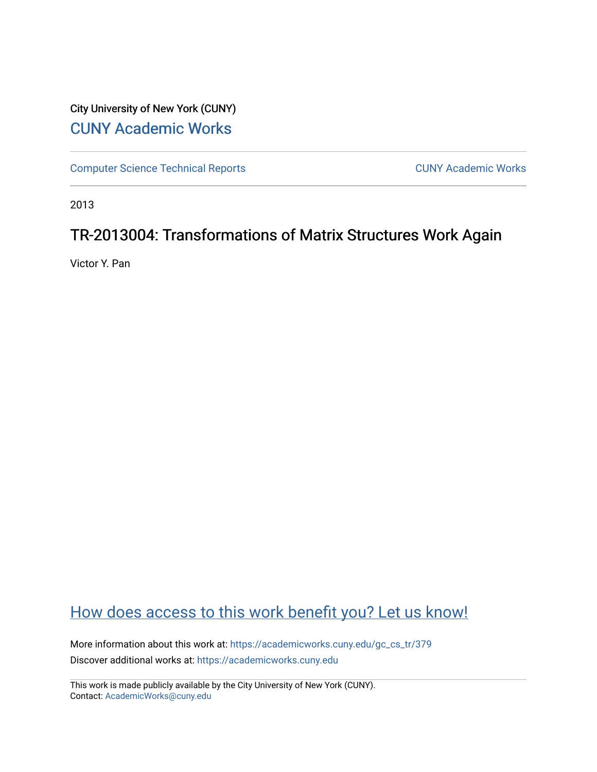# City University of New York (CUNY) [CUNY Academic Works](https://academicworks.cuny.edu/)

[Computer Science Technical Reports](https://academicworks.cuny.edu/gc_cs_tr) **CUNY Academic Works** CUNY Academic Works

2013

# TR-2013004: Transformations of Matrix Structures Work Again

Victor Y. Pan

# [How does access to this work benefit you? Let us know!](http://ols.cuny.edu/academicworks/?ref=https://academicworks.cuny.edu/gc_cs_tr/379)

More information about this work at: [https://academicworks.cuny.edu/gc\\_cs\\_tr/379](https://academicworks.cuny.edu/gc_cs_tr/379)  Discover additional works at: [https://academicworks.cuny.edu](https://academicworks.cuny.edu/?)

This work is made publicly available by the City University of New York (CUNY). Contact: [AcademicWorks@cuny.edu](mailto:AcademicWorks@cuny.edu)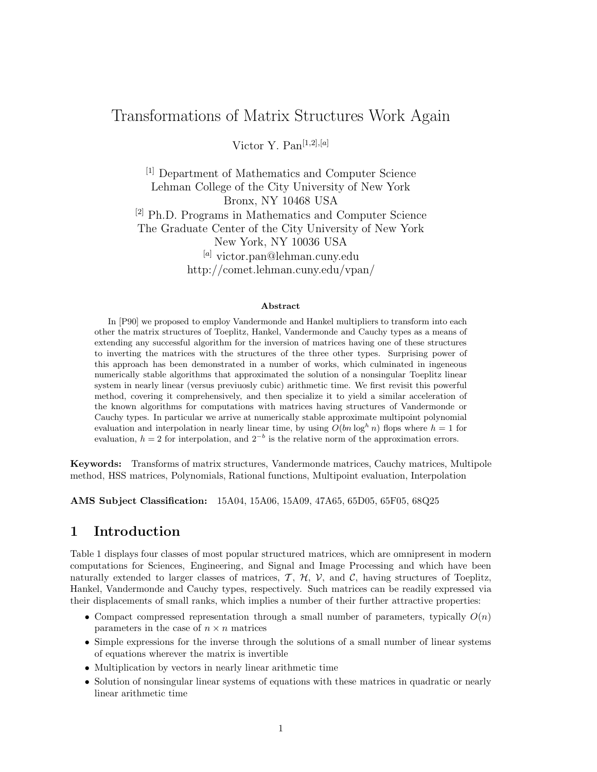# $\frac{1}{\sqrt{2}}$

Victor Y. Pan[1*,*2]*,*[*a*]

[1] Department of Mathematics and Computer Science Lehman College of the City University of New York Bronx, NY 10468 USA [2] Ph.D. Programs in Mathematics and Computer Science The Graduate Center of the City University of New York New York, NY 10036 USA [*a*] victor.pan@lehman.cuny.edu http://comet.lehman.cuny.edu/vpan/

#### **Abstract**

In [P90] we proposed to employ Vandermonde and Hankel multipliers to transform into each other the matrix structures of Toeplitz, Hankel, Vandermonde and Cauchy types as a means of extending any successful algorithm for the inversion of matrices having one of these structures to inverting the matrices with the structures of the three other types. Surprising power of this approach has been demonstrated in a number of works, which culminated in ingeneous numerically stable algorithms that approximated the solution of a nonsingular Toeplitz linear system in nearly linear (versus previuosly cubic) arithmetic time. We first revisit this powerful method, covering it comprehensively, and then specialize it to yield a similar acceleration of the known algorithms for computations with matrices having structures of Vandermonde or Cauchy types. In particular we arrive at numerically stable approximate multipoint polynomial evaluation and interpolation in nearly linear time, by using  $O(bn \log^h n)$  flops where  $h = 1$  for evaluation, *h* = 2 for interpolation, and 2*−<sup>b</sup>* is the relative norm of the approximation errors.

**Keywords:** Transforms of matrix structures, Vandermonde matrices, Cauchy matrices, Multipole method, HSS matrices, Polynomials, Rational functions, Multipoint evaluation, Interpolation

**AMS Subject Classification:** 15A04, 15A06, 15A09, 47A65, 65D05, 65F05, 68Q25

## **1 Introduction**

Table 1 displays four classes of most popular structured matrices, which are omnipresent in modern computations for Sciences, Engineering, and Signal and Image Processing and which have been naturally extended to larger classes of matrices,  $\mathcal{T}$ ,  $\mathcal{H}$ ,  $\mathcal{V}$ , and  $\mathcal{C}$ , having structures of Toeplitz, Hankel, Vandermonde and Cauchy types, respectively. Such matrices can be readily expressed via their displacements of small ranks, which implies a number of their further attractive properties:

- Compact compressed representation through a small number of parameters, typically  $O(n)$ parameters in the case of  $n \times n$  matrices
- Simple expressions for the inverse through the solutions of a small number of linear systems of equations wherever the matrix is invertible
- Multiplication by vectors in nearly linear arithmetic time
- Solution of nonsingular linear systems of equations with these matrices in quadratic or nearly linear arithmetic time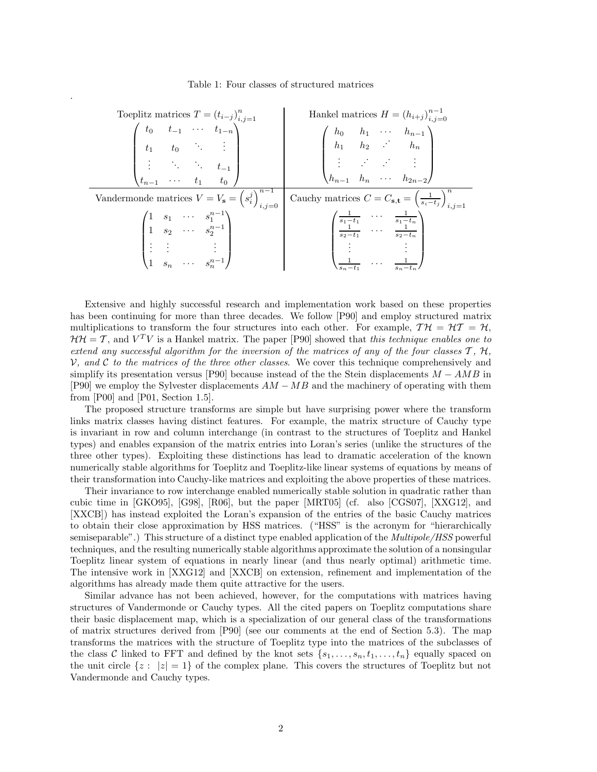#### Table 1: Four classes of structured matrices

.

| Toeplitz matrices $T = (t_{i-j})_{i,j=1}^n$                                                                                                                      | Hankel matrices $H = (h_{i+j})_{i,j=0}^{n-1}$                                                                                                                                                           |
|------------------------------------------------------------------------------------------------------------------------------------------------------------------|---------------------------------------------------------------------------------------------------------------------------------------------------------------------------------------------------------|
| $\begin{pmatrix} t_0 & t_{-1} & \cdots & t_{1-n} \ t_1 & t_0 & \ddots & \vdots \ \vdots & \ddots & \ddots & t_{-1} \ t_{n-1} & \cdots & t_1 & t_0 \end{pmatrix}$ | $\begin{pmatrix} h_0 & h_1 & \cdots & h_{n-1} \\ h_1 & h_2 & \cdots & h_n \\ \vdots & \vdots & \ddots & \vdots \\ h_{n-1} & h_n & \cdots & h_{2n-2} \end{pmatrix}$                                      |
| Vandermonde matrices $V = V_{\mathbf{s}} = \left(s_i^j\right)_{i,j=0}^{n-1}$                                                                                     | Cauchy matrices $C = C_{\mathbf{s},\mathbf{t}} = \left(\frac{1}{s_i - t_j}\right)_{i,j=1}^{n}$                                                                                                          |
| $\begin{pmatrix} 1 & s_1 & \cdots & s_1^{n-1} \\ 1 & s_2 & \cdots & s_2^{n-1} \\ \vdots & \vdots & & \vdots \\ 1 & s_n & \cdots & s_n^{n-1} \end{pmatrix}$       | $\begin{pmatrix} \frac{1}{s_1-t_1} & \cdots & \frac{1}{s_1-t_n} \\ \frac{1}{s_2-t_1} & \cdots & \frac{1}{s_2-t_n} \\ \vdots & & \vdots \\ \frac{1}{s_n-t_1} & \cdots & \frac{1}{s_n-t_n} \end{pmatrix}$ |

Extensive and highly successful research and implementation work based on these properties has been continuing for more than three decades. We follow [P90] and employ structured matrix multiplications to transform the four structures into each other. For example,  $T H = H T = H$ ,  $H H = T$ , and  $V^T V$  is a Hankel matrix. The paper [P90] showed that *this technique enables one to extend any successful algorithm for the inversion of the matrices of any of the four classes*  $\mathcal{T}$ ,  $\mathcal{H}$ , V*, and* C *to the matrices of the three other classes*. We cover this technique comprehensively and simplify its presentation versus [P90] because instead of the the Stein displacements *M* − *AMB* in [P90] we employ the Sylvester displacements *AM* −*MB* and the machinery of operating with them from [P00] and [P01, Section 1.5].

The proposed structure transforms are simple but have surprising power where the transform links matrix classes having distinct features. For example, the matrix structure of Cauchy type is invariant in row and column interchange (in contrast to the structures of Toeplitz and Hankel types) and enables expansion of the matrix entries into Loran's series (unlike the structures of the three other types). Exploiting these distinctions has lead to dramatic acceleration of the known numerically stable algorithms for Toeplitz and Toeplitz-like linear systems of equations by means of their transformation into Cauchy-like matrices and exploiting the above properties of these matrices.

Their invariance to row interchange enabled numerically stable solution in quadratic rather than cubic time in [GKO95], [G98], [R06], but the paper [MRT05] (cf. also [CGS07], [XXG12], and [XXCB]) has instead exploited the Loran's expansion of the entries of the basic Cauchy matrices to obtain their close approximation by HSS matrices. ("HSS" is the acronym for "hierarchically semiseparable".) This structure of a distinct type enabled application of the *Multipole/HSS* powerful techniques, and the resulting numerically stable algorithms approximate the solution of a nonsingular Toeplitz linear system of equations in nearly linear (and thus nearly optimal) arithmetic time. The intensive work in [XXG12] and [XXCB] on extension, refinement and implementation of the algorithms has already made them quite attractive for the users.

Similar advance has not been achieved, however, for the computations with matrices having structures of Vandermonde or Cauchy types. All the cited papers on Toeplitz computations share their basic displacement map, which is a specialization of our general class of the transformations of matrix structures derived from [P90] (see our comments at the end of Section 5.3). The map transforms the matrices with the structure of Toeplitz type into the matrices of the subclasses of the class C linked to FFT and defined by the knot sets  $\{s_1, \ldots, s_n, t_1, \ldots, t_n\}$  equally spaced on the unit circle  $\{z : |z|=1\}$  of the complex plane. This covers the structures of Toeplitz but not Vandermonde and Cauchy types.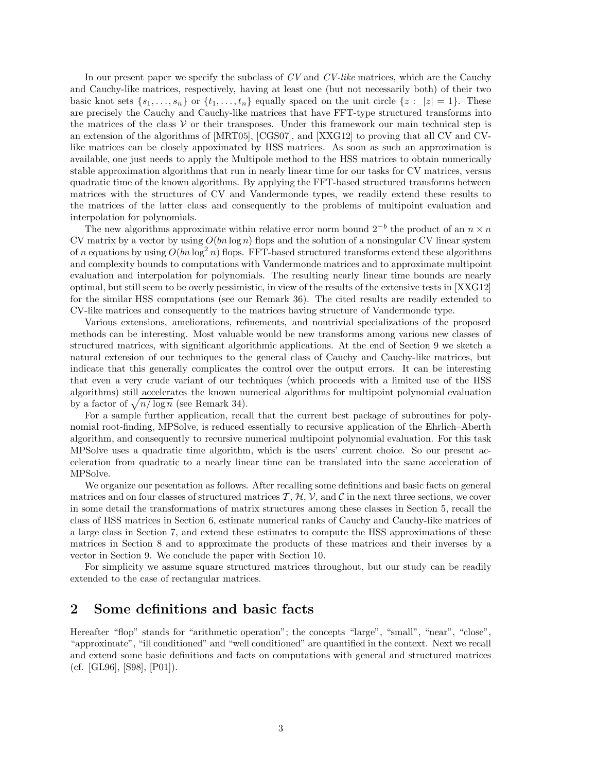In our present paper we specify the subclass of *CV* and *CV-like* matrices, which are the Cauchy and Cauchy-like matrices, respectively, having at least one (but not necessarily both) of their two basic knot sets  $\{s_1, \ldots, s_n\}$  or  $\{t_1, \ldots, t_n\}$  equally spaced on the unit circle  $\{z : |z| = 1\}$ . These are precisely the Cauchy and Cauchy-like matrices that have FFT-type structured transforms into the matrices of the class  $V$  or their transposes. Under this framework our main technical step is an extension of the algorithms of [MRT05], [CGS07], and [XXG12] to proving that all CV and CVlike matrices can be closely appoximated by HSS matrices. As soon as such an approximation is available, one just needs to apply the Multipole method to the HSS matrices to obtain numerically stable approximation algorithms that run in nearly linear time for our tasks for CV matrices, versus quadratic time of the known algorithms. By applying the FFT-based structured transforms between matrices with the structures of CV and Vandermonde types, we readily extend these results to the matrices of the latter class and consequently to the problems of multipoint evaluation and interpolation for polynomials.

The new algorithms approximate within relative error norm bound  $2^{-b}$  the product of an  $n \times n$ CV matrix by a vector by using  $O(bn \log n)$  flops and the solution of a nonsingular CV linear system of *n* equations by using  $O(bn \log^2 n)$  flops. FFT-based structured transforms extend these algorithms and complexity bounds to computations with Vandermonde matrices and to approximate multipoint evaluation and interpolation for polynomials. The resulting nearly linear time bounds are nearly optimal, but still seem to be overly pessimistic, in view of the results of the extensive tests in [XXG12] for the similar HSS computations (see our Remark 36). The cited results are readily extended to CV-like matrices and consequently to the matrices having structure of Vandermonde type.

Various extensions, ameliorations, refinements, and nontrivial specializations of the proposed methods can be interesting. Most valuable would be new transforms among various new classes of structured matrices, with significant algorithmic applications. At the end of Section 9 we sketch a natural extension of our techniques to the general class of Cauchy and Cauchy-like matrices, but indicate that this generally complicates the control over the output errors. It can be interesting that even a very crude variant of our techniques (which proceeds with a limited use of the HSS algorithms) still accelerates the known numerical algorithms for multipoint polynomial evaluation by a factor of  $\sqrt{n/\log n}$  (see Remark 34).

For a sample further application, recall that the current best package of subroutines for polynomial root-finding, MPSolve, is reduced essentially to recursive application of the Ehrlich–Aberth algorithm, and consequently to recursive numerical multipoint polynomial evaluation. For this task MPSolve uses a quadratic time algorithm, which is the users' current choice. So our present acceleration from quadratic to a nearly linear time can be translated into the same acceleration of MPSolve.

We organize our pesentation as follows. After recalling some definitions and basic facts on general matrices and on four classes of structured matrices  $\mathcal{T}, \mathcal{H}, \mathcal{V}$ , and  $\mathcal{C}$  in the next three sections, we cover in some detail the transformations of matrix structures among these classes in Section 5, recall the class of HSS matrices in Section 6, estimate numerical ranks of Cauchy and Cauchy-like matrices of a large class in Section 7, and extend these estimates to compute the HSS approximations of these matrices in Section 8 and to approximate the products of these matrices and their inverses by a vector in Section 9. We conclude the paper with Section 10.

For simplicity we assume square structured matrices throughout, but our study can be readily extended to the case of rectangular matrices.

#### **2 Some definitions and basic facts**

Hereafter "flop" stands for "arithmetic operation"; the concepts "large", "small", "near", "close", "approximate", "ill conditioned" and "well conditioned" are quantified in the context. Next we recall and extend some basic definitions and facts on computations with general and structured matrices (cf. [GL96], [S98], [P01]).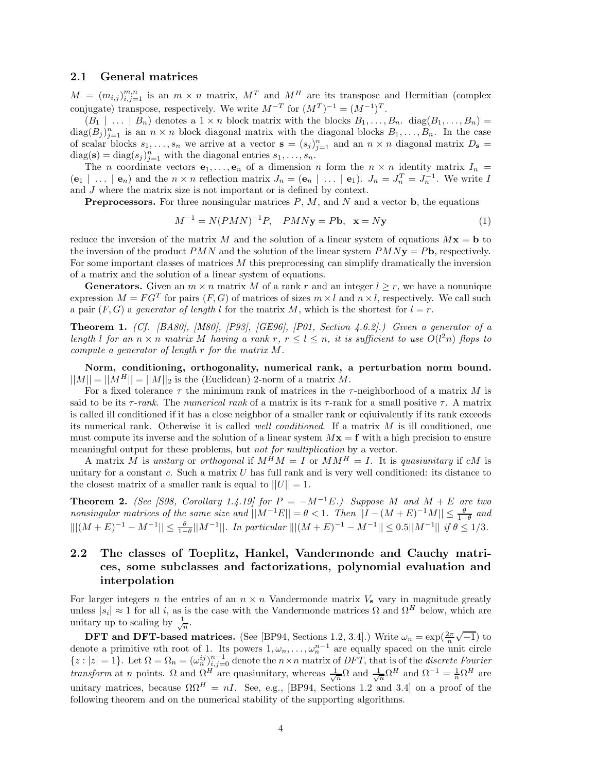#### **2.1 General matrices**

 $M = (m_{i,j})_{i,j=1}^{m,n}$  is an  $m \times n$  matrix,  $M^T$  and  $M^H$  are its transpose and Hermitian (complex conjugate) transpose, respectively. We write  $M^{-T}$  for  $(M^T)^{-1} = (M^{-1})^T$ .

 $(B_1 \mid \ldots \mid B_n)$  denotes a  $1 \times n$  block matrix with the blocks  $B_1, \ldots, B_n$ . diag $(B_1, \ldots, B_n)$  $diag(B_j)_{j=1}^n$  is an  $n \times n$  block diagonal matrix with the diagonal blocks  $B_1, \ldots, B_n$ . In the case of scalar blocks  $s_1, \ldots, s_n$  we arrive at a vector  $\mathbf{s} = (s_j)_{j=1}^n$  and an  $n \times n$  diagonal matrix  $D_{\mathbf{s}} =$  $diag(\mathbf{s}) = diag(s_j)_{j=1}^n$  with the diagonal entries  $s_1, \ldots, s_n$ .

The *n* coordinate vectors  $e_1, \ldots, e_n$  of a dimension *n* form the  $n \times n$  identity matrix  $I_n =$  $(\mathbf{e}_1 \mid \ldots \mid \mathbf{e}_n)$  and the  $n \times n$  reflection matrix  $J_n = (\mathbf{e}_n \mid \ldots \mid \mathbf{e}_1)$ .  $J_n = J_n^T = J_n^{-1}$ . We write I and  $J$  where the matrix size is not important or is defined by context.

**Preprocessors.** For three nonsingular matrices *P*, *M*, and *N* and a vector **b**, the equations

$$
M^{-1} = N(PMN)^{-1}P, \quad PMN\mathbf{y} = P\mathbf{b}, \quad \mathbf{x} = N\mathbf{y}
$$
 (1)

reduce the inversion of the matrix *M* and the solution of a linear system of equations  $M$ **x** = **b** to the inversion of the product *PMN* and the solution of the linear system  $PMN$ **y** = *P***b**, respectively. For some important classes of matrices *M* this preprocessing can simplify dramatically the inversion of a matrix and the solution of a linear system of equations.

**Generators.** Given an  $m \times n$  matrix M of a rank r and an integer  $l \geq r$ , we have a nonunique expression  $M = FG^T$  for pairs  $(F, G)$  of matrices of sizes  $m \times l$  and  $n \times l$ , respectively. We call such a pair  $(F, G)$  a *generator of length l* for the matrix *M*, which is the shortest for  $l = r$ .

**Theorem 1.** *(Cf. [BA80], [M80], [P93], [GE96], [P01, Section 4.6.2].) Given a generator of a* length l for an  $n \times n$  matrix M having a rank r,  $r \leq l \leq n$ , it is sufficient to use  $O(l^2n)$  flops to *compute a generator of length r for the matrix M.*

**Norm, conditioning, orthogonality, numerical rank, a perturbation norm bound.**  $||M|| = ||M^H|| = ||M||_2$  is the (Euclidean) 2-norm of a matrix *M*.

For a fixed tolerance  $\tau$  the minimum rank of matrices in the  $\tau$ -neighborhood of a matrix M is said to be its  $\tau$ -rank. The *numerical rank* of a matrix is its  $\tau$ -rank for a small positive  $\tau$ . A matrix is called ill conditioned if it has a close neighbor of a smaller rank or eqiuivalently if its rank exceeds its numerical rank. Otherwise it is called *well conditioned*. If a matrix *M* is ill conditioned, one must compute its inverse and the solution of a linear system  $Mx = f$  with a high precision to ensure meaningful output for these problems, but *not for multiplication* by a vector.

A matrix M is *unitary* or *orthogonal* if  $M^{\tilde{H}}M = I$  or  $MM^{\tilde{H}} = I$ . It is *quasiunitary* if *cM* is unitary for a constant *c*. Such a matrix *U* has full rank and is very well conditioned: its distance to the closest matrix of a smaller rank is equal to  $||U|| = 1$ .

**Theorem 2.** *(See [S98, Corollary 1.4.19] for*  $P = -M^{-1}E$ *.) Suppose M* and  $M + E$  are two  $nonsingular$  matrices of the same size and  $||M^{-1}E|| = \theta < 1$ . Then  $||I - (M + E)^{-1}M|| \leq \frac{\theta}{1-\theta}$  and  $|||(M+E)^{-1} - M^{-1}|| \leq \frac{\theta}{1-\theta}||M^{-1}||$ . In particular  $|||(M+E)^{-1} - M^{-1}|| \leq 0.5||M^{-1}||$  if  $\theta \leq 1/3$ .

#### **2.2 The classes of Toeplitz, Hankel, Vandermonde and Cauchy matrices, some subclasses and factorizations, polynomial evaluation and interpolation**

For larger integers *n* the entries of an  $n \times n$  Vandermonde matrix  $V_s$  vary in magnitude greatly unless  $|s_i| \approx 1$  for all *i*, as is the case with the Vandermonde matrices  $\Omega$  and  $\Omega^H$  below, which are unitary up to scaling by  $\frac{1}{\sqrt{n}}$ .

**DFT and DFT-based matrices.** (See [BP94, Sections 1.2, 3.4].) Write  $\omega_n = \exp(\frac{2\pi}{n}\sqrt{-1})$  to denote a primitive *n*th root of 1. Its powers  $1, \omega_n$ ,  $\ldots, \omega_n^{n-1}$  are equally spaced on the unit circle  $\{z : |z| = 1\}$ . Let  $\Omega = \Omega_n = (\omega_n^{ij})_{i,j=0}^{n-1}$  denote the  $n \times n$  matrix of *DFT*, that is of the *discrete Fourier transform* at *n* points.  $\Omega$  and  $\Omega^H$  are quasiunitary, whereas  $\frac{1}{\sqrt{n}}\Omega$  and  $\frac{1}{\sqrt{n}}\Omega^H$  and  $\Omega^{-1} = \frac{1}{n}\Omega^H$  are unitary matrices, because  $\Omega \Omega^H = nI$ . See, e.g., [BP94, Sections 1.2 and 3.4] on a proof of the following theorem and on the numerical stability of the supporting algorithms.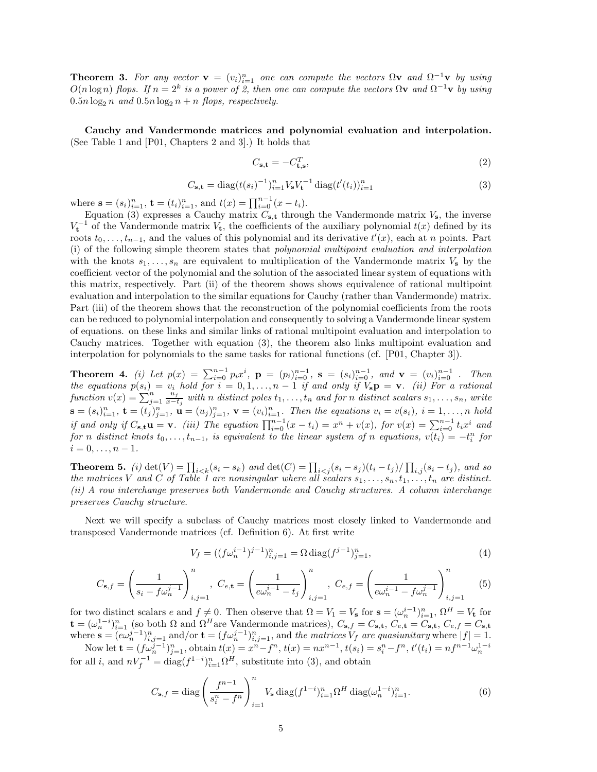**Theorem 3.** For any vector  $\mathbf{v} = (v_i)_{i=1}^n$  one can compute the vectors  $\Omega \mathbf{v}$  and  $\Omega^{-1} \mathbf{v}$  by using  $O(n \log n)$  *flops.* If  $n = 2^k$  *is a power of 2, then one can compute the vectors*  $\Omega$ **v** *and*  $\Omega^{-1}$ **v** *by using*  $0.5n \log_2 n$  *and*  $0.5n \log_2 n + n$  *flops, respectively.* 

**Cauchy and Vandermonde matrices and polynomial evaluation and interpolation.** (See Table 1 and [P01, Chapters 2 and 3].) It holds that

$$
C_{\mathbf{s},\mathbf{t}} = -C_{\mathbf{t},\mathbf{s}}^T,\tag{2}
$$

$$
C_{\mathbf{s},\mathbf{t}} = \text{diag}(t(s_i)^{-1})_{i=1}^n V_{\mathbf{s}} V_{\mathbf{t}}^{-1} \text{diag}(t'(t_i))_{i=1}^n
$$
 (3)

where  $\mathbf{s} = (s_i)_{i=1}^n$ ,  $\mathbf{t} = (t_i)_{i=1}^n$ , and  $t(x) = \prod_{i=0}^{n-1} (x - t_i)$ .

Equation (3) expresses a Cauchy matrix  $C_{s,t}$  through the Vandermonde matrix  $V_s$ , the inverse  $V_t^{-1}$  of the Vandermonde matrix  $V_t$ , the coefficients of the auxiliary polynomial  $t(x)$  defined by its roots  $t_0, \ldots, t_{n-1}$ , and the values of this polynomial and its derivative  $t'(x)$ , each at *n* points. Part (i) of the following simple theorem states that *polynomial multipoint evaluation and interpolation* with the knots  $s_1, \ldots, s_n$  are equivalent to multiplication of the Vandermonde matrix  $V_s$  by the coefficient vector of the polynomial and the solution of the associated linear system of equations with this matrix, respectively. Part (ii) of the theorem shows shows equivalence of rational multipoint evaluation and interpolation to the similar equations for Cauchy (rather than Vandermonde) matrix. Part (iii) of the theorem shows that the reconstruction of the polynomial coefficients from the roots can be reduced to polynomial interpolation and consequently to solving a Vandermonde linear system of equations. on these links and similar links of rational multipoint evaluation and interpolation to Cauchy matrices. Together with equation (3), the theorem also links multipoint evaluation and interpolation for polynomials to the same tasks for rational functions (cf. [P01, Chapter 3]).

**Theorem 4.** (i) Let  $p(x) = \sum_{i=0}^{n-1} p_i x^i$ ,  $p = (p_i)_{i=0}^{n-1}$ ,  $s = (s_i)_{i=0}^{n-1}$ , and  $v = (v_i)_{i=0}^{n-1}$ . Then *the equations*  $p(s_i) = v_i$  *hold for*  $i = 0, 1, \ldots, n - 1$  *if and only if*  $V_s \mathbf{p} = \mathbf{v}$ *. (ii) For a rational* function  $v(x) = \sum_{j=1}^{n} \frac{u_j}{x-t_j}$  with n distinct poles  $t_1, \ldots, t_n$  and for n distinct scalars  $s_1, \ldots, s_n$ , write  $\mathbf{s} = (s_i)_{i=1}^n$ ,  $\mathbf{t} = (t_j)_{j=1}^n$ ,  $\mathbf{u} = (u_j)_{j=1}^n$ ,  $\mathbf{v} = (v_i)_{i=1}^n$ . Then the equations  $v_i = v(s_i)$ ,  $i = 1, ..., n$  hold if and only if  $C_{s,t}u = v$ . (iii) The equation  $\prod_{i=0}^{n-1} (x - t_i) = x^n + v(x)$ , for  $v(x) = \sum_{i=0}^{n-1} t_i x^i$  and *for n distinct knots*  $t_0, \ldots, t_{n-1}$ , *is equivalent to the linear system of n equations*,  $v(t_i) = -t_i^n$  *for*  $i = 0, \ldots, n - 1.$ 

**Theorem 5.** (i)  $\det(V) = \prod_{i < k} (s_i - s_k)$  and  $\det(C) = \prod_{i < j} (s_i - s_j)(t_i - t_j) / \prod_{i,j} (s_i - t_j)$ , and so *the matrices V* and *C* of Table 1 are nonsingular where all scalars  $s_1, \ldots, s_n, t_1, \ldots, t_n$  are distinct. *(ii) A row interchange preserves both Vandermonde and Cauchy structures. A column interchange preserves Cauchy structure.*

Next we will specify a subclass of Cauchy matrices most closely linked to Vandermonde and transposed Vandermonde matrices (cf. Definition 6). At first write

$$
V_f = ((f\omega_n^{i-1})^{j-1})_{i,j=1}^n = \Omega \operatorname{diag}(f^{j-1})_{j=1}^n,\tag{4}
$$

$$
C_{\mathbf{s},f} = \left(\frac{1}{s_i - f\omega_n^{j-1}}\right)_{i,j=1}^n, \ C_{e,\mathbf{t}} = \left(\frac{1}{e\omega_n^{i-1} - t_j}\right)_{i,j=1}^n, \ C_{e,f} = \left(\frac{1}{e\omega_n^{i-1} - f\omega_n^{j-1}}\right)_{i,j=1}^n \tag{5}
$$

for two distinct scalars *e* and  $f \neq 0$ . Then observe that  $\Omega = V_1 = V_s$  for  $\mathbf{s} = (\omega_n^{i-1})_{i=1}^n$ ,  $\Omega^H = V_t$  for  $\mathbf{t} = (\omega_n^{1-i})_{i=1}^n$  (so both  $\Omega$  and  $\Omega^H$  are Vandermonde matrices),  $C_{\mathbf{s},f} = C_{\mathbf{s},\mathbf{t}}$ ,  $C_{e,\mathbf{t}} = C_{\mathbf{s},\mathbf{t}}$ ,  $C_{e,f} = C_{\mathbf{s},\mathbf{t}}$ where  $\mathbf{s} = (e\omega_n^{j-1})_{i,j=1}^n$  and/or  $\mathbf{t} = (f\omega_n^{j-1})_{i,j=1}^n$ , and the matrices  $V_f$  are quasiunitary where  $|f| = 1$ . Now let  $\mathbf{t} = (f\omega_n^{j-1})_{j=1}^n$ , obtain  $t(x) = x^n - f^n$ ,  $t(x) = nx^{n-1}$ ,  $t(s_i) = s_i^n - f^n$ ,  $t'(t_i) = nf^{n-1}\omega_n^{1-i}$ 

for all *i*, and  $nV_f^{-1} = \text{diag}(f^{1-i})_{i=1}^n \Omega^H$ , substitute into (3), and obtain

$$
C_{\mathbf{s},f} = \text{diag}\left(\frac{f^{n-1}}{s_i^n - f^n}\right)_{i=1}^n V_{\mathbf{s}} \text{diag}(f^{1-i})_{i=1}^n \Omega^H \text{diag}(\omega_n^{1-i})_{i=1}^n. \tag{6}
$$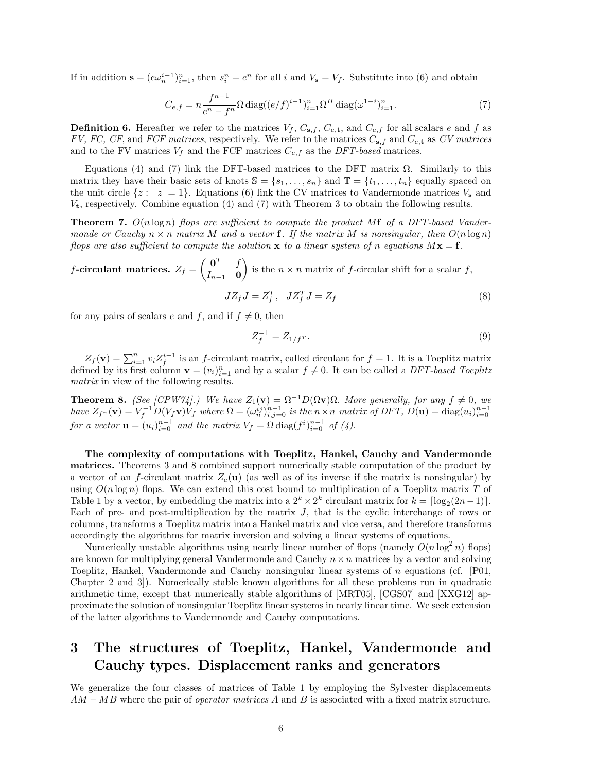If in addition  $\mathbf{s} = (e\omega_n^{i-1})_{i=1}^n$ , then  $s_i^n = e^n$  for all *i* and  $V_{\mathbf{s}} = V_f$ . Substitute into (6) and obtain

$$
C_{e,f} = n \frac{f^{n-1}}{e^n - f^n} \Omega \operatorname{diag}((e/f)^{i-1})_{i=1}^n \Omega^H \operatorname{diag}(\omega^{1-i})_{i=1}^n.
$$
 (7)

**Definition 6.** Hereafter we refer to the matrices  $V_f$ ,  $C_{\mathbf{s},f}$ ,  $C_{e,\mathbf{t}}$ , and  $C_{e,f}$  for all scalars *e* and *f* as *FV, FC, CF,* and *FCF matrices,* respectively. We refer to the matrices  $C_{\mathbf{s},f}$  and  $C_{e,\mathbf{t}}$  as *CV matrices* and to the FV matrices  $V_f$  and the FCF matrices  $C_{e,f}$  as the *DFT-based* matrices.

Equations (4) and (7) link the DFT-based matrices to the DFT matrix Ω. Similarly to this matrix they have their basic sets of knots  $\mathbb{S} = \{s_1, \ldots, s_n\}$  and  $\mathbb{T} = \{t_1, \ldots, t_n\}$  equally spaced on the unit circle  $\{z : |z| = 1\}$ . Equations (6) link the CV matrices to Vandermonde matrices  $V_s$  and *V***t**, respectively. Combine equation (4) and (7) with Theorem 3 to obtain the following results.

**Theorem 7.**  $O(n \log n)$  *flops are sufficient to compute the product*  $M$ **f** *of a DFT-based Vandermonde or Cauchy*  $n \times n$  *matrix M* and a vector **f**. If the matrix *M* is nonsingular, then  $O(n \log n)$ *flops are also sufficient to compute the solution* **x** *to a linear system of n equations*  $M$ **x** = **f**.

*f*-**circular matrices.** 
$$
Z_f = \begin{pmatrix} \mathbf{0}^T & f \\ I_{n-1} & \mathbf{0} \end{pmatrix}
$$
 is the  $n \times n$  matrix of *f*-circular shift for a scalar *f*,

$$
JZ_f J = Z_f^T, \quad JZ_f^T J = Z_f \tag{8}
$$

for any pairs of scalars *e* and *f*, and if  $f \neq 0$ , then

$$
Z_f^{-1} = Z_{1/f^T}.
$$
\n(9)

 $Z_f(\mathbf{v}) = \sum_{i=1}^n v_i Z_f^{i-1}$  is an *f*-circulant matrix, called circulant for  $f = 1$ . It is a Toeplitz matrix defined by its first column  $\mathbf{v} = (v_i)_{i=1}^n$  and by a scalar  $f \neq 0$ . It can be called a *DFT-based Toeplitz matrix* in view of the following results.

**Theorem 8.** *(See [CPW74].) We have*  $Z_1(\mathbf{v}) = \Omega^{-1}D(\Omega \mathbf{v})\Omega$ *. More generally, for any*  $f \neq 0$ *, we* have  $Z_{f^n}(\mathbf{v}) = V_f^{-1} D(V_f \mathbf{v}) V_f$  where  $\Omega = (\omega_n^{ij})_{i,j=0}^{n-1}$  is the  $n \times n$  matrix of DFT,  $D(\mathbf{u}) = \text{diag}(u_i)_{i=0}^{n-1}$ *for a vector*  $\mathbf{u} = (u_i)_{i=0}^{n-1}$  *and the matrix*  $V_f = \Omega \text{ diag}(f^i)_{i=0}^{n-1}$  *of* (4).

**The complexity of computations with Toeplitz, Hankel, Cauchy and Vandermonde matrices.** Theorems 3 and 8 combined support numerically stable computation of the product by a vector of an *f*-circulant matrix  $Z_e(\mathbf{u})$  (as well as of its inverse if the matrix is nonsingular) by using  $O(n \log n)$  flops. We can extend this cost bound to multiplication of a Toeplitz matrix  $T$  of Table 1 by a vector, by embedding the matrix into a  $2^k \times 2^k$  circulant matrix for  $k = \lfloor \log_2(2n-1) \rfloor$ . Each of pre- and post-multiplication by the matrix *J*, that is the cyclic interchange of rows or columns, transforms a Toeplitz matrix into a Hankel matrix and vice versa, and therefore transforms accordingly the algorithms for matrix inversion and solving a linear systems of equations.

Numerically unstable algorithms using nearly linear number of flops (namely  $O(n \log^2 n)$  flops) are known for multiplying general Vandermonde and Cauchy  $n \times n$  matrices by a vector and solving Toeplitz, Hankel, Vandermonde and Cauchy nonsingular linear systems of *n* equations (cf. [P01, Chapter 2 and 3]). Numerically stable known algorithms for all these problems run in quadratic arithmetic time, except that numerically stable algorithms of [MRT05], [CGS07] and [XXG12] approximate the solution of nonsingular Toeplitz linear systems in nearly linear time. We seek extension of the latter algorithms to Vandermonde and Cauchy computations.

# **3 The structures of Toeplitz, Hankel, Vandermonde and Cauchy types. Displacement ranks and generators**

We generalize the four classes of matrices of Table 1 by employing the Sylvester displacements *AM* − *MB* where the pair of *operator matrices A* and *B* is associated with a fixed matrix structure.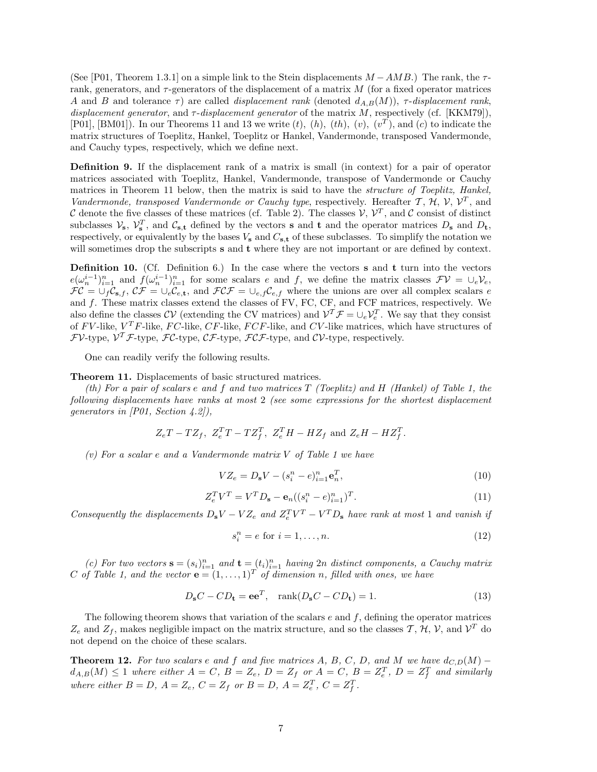(See [P01, Theorem 1.3.1] on a simple link to the Stein displacements  $M - AMB$ .) The rank, the  $\tau$ rank, generators, and *τ* -generators of the displacement of a matrix *M* (for a fixed operator matrices *A* and *B* and tolerance *τ*) are called *displacement rank* (denoted  $d_{A,B}(M)$ ), *τ*-*displacement rank*, *displacement generator*, and *τ* -*displacement generator* of the matrix *M*, respectively (cf. [KKM79]), [P01], [BM01]). In our Theorems 11 and 13 we write  $(t)$ ,  $(h)$ ,  $(th)$ ,  $(v)$ ,  $(v<sup>T</sup>)$ , and  $(c)$  to indicate the matrix structures of Toeplitz, Hankel, Toeplitz or Hankel, Vandermonde, transposed Vandermonde, and Cauchy types, respectively, which we define next.

**Definition 9.** If the displacement rank of a matrix is small (in context) for a pair of operator matrices associated with Toeplitz, Hankel, Vandermonde, transpose of Vandermonde or Cauchy matrices in Theorem 11 below, then the matrix is said to have the *structure of Toeplitz, Hankel, Vandermonde, transposed Vandermonde or Cauchy type, respectively. Hereafter T, H, V,*  $V^T$ *, and* C denote the five classes of these matrices (cf. Table 2). The classes  $V, V^T$ , and C consist of distinct subclasses  $V_s$ ,  $V_s^T$ , and  $C_{s,t}$  defined by the vectors **s** and **t** and the operator matrices  $D_s$  and  $D_t$ , respectively, or equivalently by the bases  $V_s$  and  $C_{s,t}$  of these subclasses. To simplify the notation we will sometimes drop the subscripts **s** and **t** where they are not important or are defined by context.

**Definition 10.** (Cf. Definition 6.) In the case where the vectors **s** and **t** turn into the vectors  $e(\omega_n^{i-1})_{i=1}^n$  and  $f(\omega_n^{i-1})_{i=1}^n$  for some scalars *e* and *f*, we define the matrix classes  $\mathcal{F}V = \cup_e \mathcal{V}_e$ ,  $FC = \bigcup_f C_{\mathbf{s},f}, \ C\mathcal{F} = \bigcup_e C_{e,\mathbf{t}}, \text{ and } \ \mathcal{F} \mathcal{CF} = \bigcup_{e,f} C_{e,f}$  where the unions are over all complex scalars *e* and *f*. These matrix classes extend the classes of FV, FC, CF, and FCF matrices, respectively. We also define the classes  $CV$  (extending the CV matrices) and  $V^T \mathcal{F} = \cup_e V_e^T$ . We say that they consist of *F V* -like, *V <sup>T</sup> F*-like, *F C*-like, *CF*-like, *FCF*-like, and *CV* -like matrices, which have structures of  $FV$ -type,  $V^T\mathcal{F}$ -type,  $\mathcal{FC}$ -type,  $\mathcal{CF}$ -type,  $\mathcal{FCF}$ -type, and  $\mathcal{CV}$ -type, respectively.

One can readily verify the following results.

**Theorem 11.** Displacements of basic structured matrices.

*(th) For a pair of scalars e and f and two matrices T (Toeplitz) and H (Hankel) of Table 1, the following displacements have ranks at most* 2 *(see some expressions for the shortest displacement generators in [P01, Section 4.2]),*

$$
Z_e T - T Z_f, \ Z_e^T T - T Z_f^T, \ Z_e^T H - H Z_f \text{ and } Z_e H - H Z_f^T.
$$

*(v) For a scalar e and a Vandermonde matrix V of Table 1 we have*

$$
VZ_e = D_{\mathbf{s}}V - (s_i^n - e)_{i=1}^n \mathbf{e}_n^T, \tag{10}
$$

$$
Z_e^T V^T = V^T D_s - \mathbf{e}_n ((s_i^n - e)_{i=1}^n)^T.
$$
\n(11)

*Consequently the displacements*  $D_s V - VZ_e$  *and*  $Z_e^T V^T - V^T D_s$  *have rank at most* 1 *and vanish if* 

$$
s_i^n = e \text{ for } i = 1, \dots, n. \tag{12}
$$

(c) For two vectors  $\mathbf{s} = (s_i)_{i=1}^n$  and  $\mathbf{t} = (t_i)_{i=1}^n$  having  $2n$  distinct components, a Cauchy matrix *C of Table 1, and the vector*  $\mathbf{e} = (1, \ldots, 1)^T$  *of dimension n, filled with ones, we have* 

$$
D_{\mathbf{s}}C - CD_{\mathbf{t}} = \mathbf{e}\mathbf{e}^T, \quad \text{rank}(D_{\mathbf{s}}C - CD_{\mathbf{t}}) = 1. \tag{13}
$$

The following theorem shows that variation of the scalars *e* and *f*, defining the operator matrices  $Z_e$  and  $Z_f$ , makes negligible impact on the matrix structure, and so the classes  $\mathcal{T}, \mathcal{H}, \mathcal{V}$ , and  $\mathcal{V}^T$  do not depend on the choice of these scalars.

**Theorem 12.** For two scalars  $e$  and  $f$  and five matrices  $A, B, C, D$ , and  $M$  we have  $d_{C,D}(M)$  –  $d_{A,B}(M) \leq 1$  where either  $A = C$ ,  $B = Z_e$ ,  $D = Z_f$  or  $A = C$ ,  $B = Z_e^T$ ,  $D = Z_f^T$  and similarly where either  $B = D$ ,  $A = Z_e$ ,  $C = Z_f$  or  $B = D$ ,  $A = Z_e^T$ ,  $C = Z_f^T$ .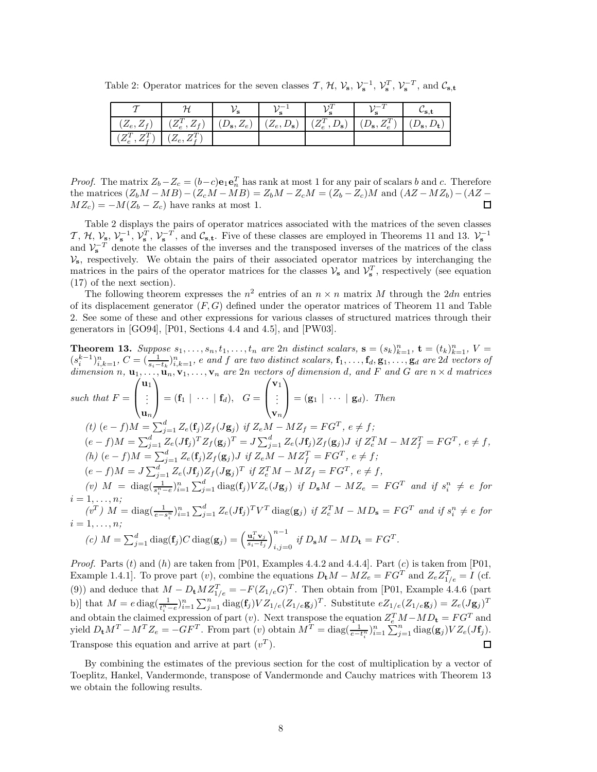Table 2: Operator matrices for the seven classes  $\mathcal{T}$ ,  $\mathcal{H}$ ,  $\mathcal{V}_s$ ,  $\mathcal{V}_s^{-1}$ ,  $\mathcal{V}_s^T$ ,  $\mathcal{V}_s^{-T}$ , and  $\mathcal{C}_{s,t}$ 

|                                 |                                                                                                  |  |  | ∽s.t |
|---------------------------------|--------------------------------------------------------------------------------------------------|--|--|------|
|                                 | $(Z_e, Z_f)$ $(Z_e^T, Z_f)$ $(D_s, Z_e)$ $(Z_e, D_s)$ $(Z_e^T, D_s)$ $(D_s, Z_e^T)$ $(D_s, D_t)$ |  |  |      |
| $(Z_e^T, Z_f^T)$ $(Z_e, Z_f^T)$ |                                                                                                  |  |  |      |

*Proof.* The matrix  $Z_b - Z_c = (b - c)\mathbf{e}_1 \mathbf{e}_n^T$  has rank at most 1 for any pair of scalars *b* and *c*. Therefore the matrices  $(Z_bM - MB) - (Z_cM - MB) = Z_bM - Z_cM = (Z_b - Z_c)M$  and  $(AZ - MZ_b) - (AZ - B_c)M = (Z_c - B_c)M$  $MZ_c$ ) =  $-M(Z_b - Z_c)$  have ranks at most 1. 口

Table 2 displays the pairs of operator matrices associated with the matrices of the seven classes  $\mathcal{T}, \mathcal{H}, \mathcal{V}_{\mathbf{s}}, \mathcal{V}_{\mathbf{s}}^{-1}, \mathcal{V}_{\mathbf{s}}^{T}, \mathcal{V}_{\mathbf{s}}^{-T}$ , and  $\mathcal{C}_{\mathbf{s},\mathbf{t}}$ . Five of these classes are employed in Theorems 11 and 13.  $\mathcal{V}_{\mathbf{s}}^{-1}$ and  $V_{\rm s}$ <sup>*T*</sup> denote the classes of the inverses and the transposed inverses of the matrices of the class  $V_s$ , respectively. We obtain the pairs of their associated operator matrices by interchanging the matrices in the pairs of the operator matrices for the classes  $V_s$  and  $V_s^T$ , respectively (see equation (17) of the next section).

The following theorem expresses the  $n^2$  entries of an  $n \times n$  matrix M through the 2*dn* entries of its displacement generator (*F, G*) defined under the operator matrices of Theorem 11 and Table 2. See some of these and other expressions for various classes of structured matrices through their generators in [GO94], [P01, Sections 4.4 and 4.5], and [PW03].

**Theorem 13.** Suppose  $s_1, \ldots, s_n, t_1, \ldots, t_n$  are  $2n$  distinct scalars,  $\mathbf{s} = (s_k)_{k=1}^n$ ,  $\mathbf{t} = (t_k)_{k=1}^n$ ,  $V =$  $(s_i^{k-1})_{i,k=1}^n$ ,  $C = (\frac{1}{s_i-t_k})_{i,k=1}^n$ , e and f are two distinct scalars,  $\mathbf{f}_1, \ldots, \mathbf{f}_d, \mathbf{g}_1, \ldots, \mathbf{g}_d$  are 2d vectors of dimension n,  $\mathbf{u}_1, \ldots, \mathbf{u}_n, \mathbf{v}_1, \ldots, \mathbf{v}_n$  are  $2n$  vectors of dimension d, and F and G are  $n \times d$  matrices *such that*  $F =$  $\sqrt{ }$  $\left\{ \right.$ **u**1 *. . .* **u***<sup>n</sup>*  $\setminus$  $\int = (\mathbf{f}_1 \mid \cdots \mid \mathbf{f}_d), \quad G =$  $\sqrt{ }$  $\left\{ \right.$ **v**1 *. . .* **v***<sup>n</sup>*  $\setminus$  $= (\mathbf{g}_1 \mid \cdots \mid \mathbf{g}_d)$ . Then (t)  $(e - f)M = \sum_{j=1}^{d} Z_e(f_j)Z_f(Jg_j)$  if  $Z_eM - MZ_f = FG^T$ ,  $e \neq f$ ;  $(e-f)M = \sum_{j=1}^d Z_e(J\mathbf{f}_j)^T Z_f(\mathbf{g}_j)^T = J \sum_{j=1}^d Z_e(J\mathbf{f}_j) Z_f(\mathbf{g}_j) J$  if  $Z_e^T M - M Z_f^T = FG^T$ ,  $e \neq f$ , (h)  $(e - f)M = \sum_{j=1}^{d} Z_e(\mathbf{f}_j) Z_f(\mathbf{g}_j) J$  if  $Z_e M - M Z_f^T = FG^T$ ,  $e \neq f$ ;  $(e-f)M = J\sum_{j=1}^{d} Z_e(J\mathbf{f}_j)Z_f(J\mathbf{g}_j)^T$  if  $Z_e^T M - M Z_f = FG^T$ ,  $e \neq f$ , (v)  $M = \text{diag}(\frac{1}{s_i^n - e})_{i=1}^n \sum_{j=1}^d \text{diag}(\mathbf{f}_j) V Z_e(J\mathbf{g}_j)$  if  $D_s M - M Z_e = FG^T$  and if  $s_i^n \neq e$  for  $i = 1, \ldots, n;$  $(v^T)$   $M = \text{diag}(\frac{1}{e - s_i^n})_{i=1}^n \sum_{j=1}^d Z_e(Jf_j)^T V^T \text{diag}(\mathbf{g}_j)$  if  $Z_e^T M - M D_s = FG^T$  and if  $s_i^n \neq e$  for  $i = 1, \ldots, n;$  $f(c)$   $M = \sum_{j=1}^{d} \text{diag}(\mathbf{f}_j)C \text{diag}(\mathbf{g}_j) = \left(\frac{\mathbf{u}_i^T \mathbf{v}_j}{s_i - t_j}\right)$ *si*−*t<sup>j</sup>*  $\big)^{n-1}$  $i,j=0$  if  $D_s M - M D_t = F G^T$ .

*Proof.* Parts (*t*) and (*h*) are taken from [P01, Examples 4.4.2 and 4.4.4]. Part (*c*) is taken from [P01, Example 1.4.1]. To prove part (*v*), combine the equations  $D_t M - M Z_e = F G^T$  and  $Z_e Z_{1/e}^T = I$  (cf. (9)) and deduce that  $M - D_t M Z_{1/e}^T = -F(Z_{1/e}G)^T$ . Then obtain from [P01, Example 4.4.6 (part b)] that  $M = e \operatorname{diag}(\frac{1}{t_i^n - e})_{i=1}^n \sum_{j=1}^n \operatorname{diag}(\mathbf{f}_j) V Z_{1/e}(Z_{1/e} \mathbf{g}_j)^T$ . Substitute  $e Z_{1/e}(Z_{1/e} \mathbf{g}_j) = Z_e (J \mathbf{g}_j)^T$ and obtain the claimed expression of part (*v*). Next transpose the equation  $Z_e^T M - M D_t = FG^T$  and yield  $D_{\mathbf{t}} M^T - M^T Z_e = -G F^T$ . From part (v) obtain  $M^T = \text{diag}(\frac{1}{e - t_i^n})_{i=1}^n \sum_{j=1}^n \text{diag}(\mathbf{g}_j) V Z_e(J\mathbf{f}_j)$ . Transpose this equation and arrive at part  $(v<sup>T</sup>)$ .  $\Box$ 

By combining the estimates of the previous section for the cost of multiplication by a vector of Toeplitz, Hankel, Vandermonde, transpose of Vandermonde and Cauchy matrices with Theorem 13 we obtain the following results.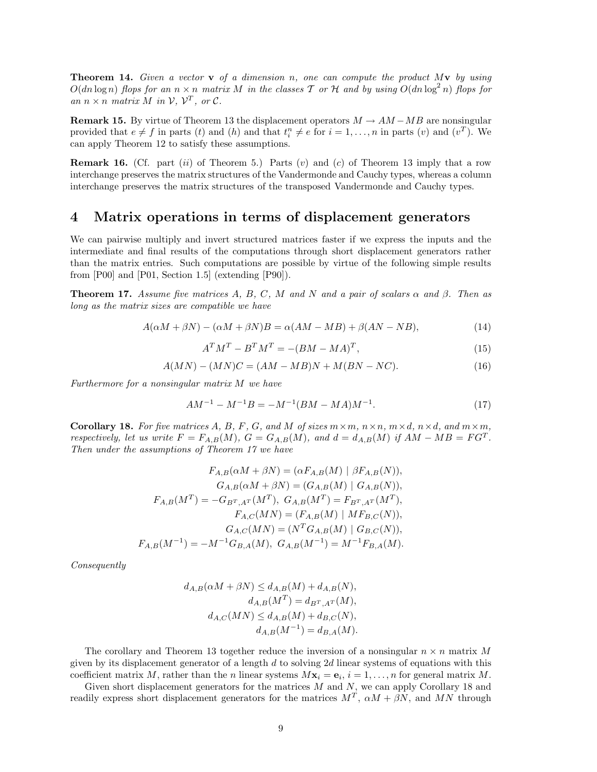**Theorem 14.** *Given a vector* **v** *of a dimension n, one can compute the product M***v** *by using*  $O(dn \log n)$  *flops for an*  $n \times n$  *matrix M in the classes* T *or* H *and by using*  $O(dn \log^2 n)$  *flops for an*  $n \times n$  *matrix*  $M$  *in*  $V$ *,*  $V^T$ *, or*  $C$ *.* 

**Remark 15.** By virtue of Theorem 13 the displacement operators  $M \to AM - MB$  are nonsingular provided that  $e \neq f$  in parts (*t*) and (*h*) and that  $t_i^n \neq e$  for  $i = 1, ..., n$  in parts (*v*) and (*v<sup>T</sup>*). We can apply Theorem 12 to satisfy these assumptions.

**Remark 16.** (Cf. part (*ii*) of Theorem 5.) Parts (*v*) and (*c*) of Theorem 13 imply that a row interchange preserves the matrix structures of the Vandermonde and Cauchy types, whereas a column interchange preserves the matrix structures of the transposed Vandermonde and Cauchy types.

#### **4 Matrix operations in terms of displacement generators**

We can pairwise multiply and invert structured matrices faster if we express the inputs and the intermediate and final results of the computations through short displacement generators rather than the matrix entries. Such computations are possible by virtue of the following simple results from [P00] and [P01, Section 1.5] (extending [P90]).

**Theorem 17.** *Assume five matrices A*, *B*, *C*, *M and N and a pair of scalars*  $\alpha$  *and*  $\beta$ . *Then as long as the matrix sizes are compatible we have*

$$
A(\alpha M + \beta N) - (\alpha M + \beta N)B = \alpha (AM - MB) + \beta (AN - NB),
$$
\n(14)

$$
A^T M^T - B^T M^T = -(BM - MA)^T,\tag{15}
$$

$$
A(MN) - (MN)C = (AM - MB)N + M(BN - NC). \tag{16}
$$

*Furthermore for a nonsingular matrix M we have*

$$
AM^{-1} - M^{-1}B = -M^{-1}(BM - MA)M^{-1}.
$$
\n(17)

**Corollary 18.** For five matrices A, B, F, G, and M of sizes  $m \times m$ ,  $n \times n$ ,  $m \times d$ ,  $n \times d$ , and  $m \times m$ , respectively, let us write  $F = F_{A,B}(M)$ ,  $G = G_{A,B}(M)$ , and  $d = d_{A,B}(M)$  if  $AM - MB = FG^T$ . *Then under the assumptions of Theorem 17 we have*

$$
F_{A,B}(\alpha M + \beta N) = (\alpha F_{A,B}(M) \mid \beta F_{A,B}(N)),
$$
  
\n
$$
G_{A,B}(\alpha M + \beta N) = (G_{A,B}(M) \mid G_{A,B}(N)),
$$
  
\n
$$
F_{A,B}(M^T) = -G_{B^T,A^T}(M^T), G_{A,B}(M^T) = F_{B^T,A^T}(M^T),
$$
  
\n
$$
F_{A,C}(MN) = (F_{A,B}(M) \mid MF_{B,C}(N)),
$$
  
\n
$$
G_{A,C}(MN) = (N^T G_{A,B}(M) \mid G_{B,C}(N)),
$$
  
\n
$$
F_{A,B}(M^{-1}) = -M^{-1} G_{B,A}(M), G_{A,B}(M^{-1}) = M^{-1} F_{B,A}(M).
$$

*Consequently*

$$
d_{A,B}(\alpha M + \beta N) \leq d_{A,B}(M) + d_{A,B}(N),
$$
  
\n
$$
d_{A,B}(M^T) = d_{B^T,A^T}(M),
$$
  
\n
$$
d_{A,C}(MN) \leq d_{A,B}(M) + d_{B,C}(N),
$$
  
\n
$$
d_{A,B}(M^{-1}) = d_{B,A}(M).
$$

The corollary and Theorem 13 together reduce the inversion of a nonsingular  $n \times n$  matrix M given by its displacement generator of a length *d* to solving 2*d* linear systems of equations with this coefficient matrix *M*, rather than the *n* linear systems  $M\mathbf{x}_i = \mathbf{e}_i, i = 1, \ldots, n$  for general matrix *M*.

Given short displacement generators for the matrices *M* and *N*, we can apply Corollary 18 and readily express short displacement generators for the matrices  $M^T$ ,  $\alpha M + \beta N$ , and  $MN$  through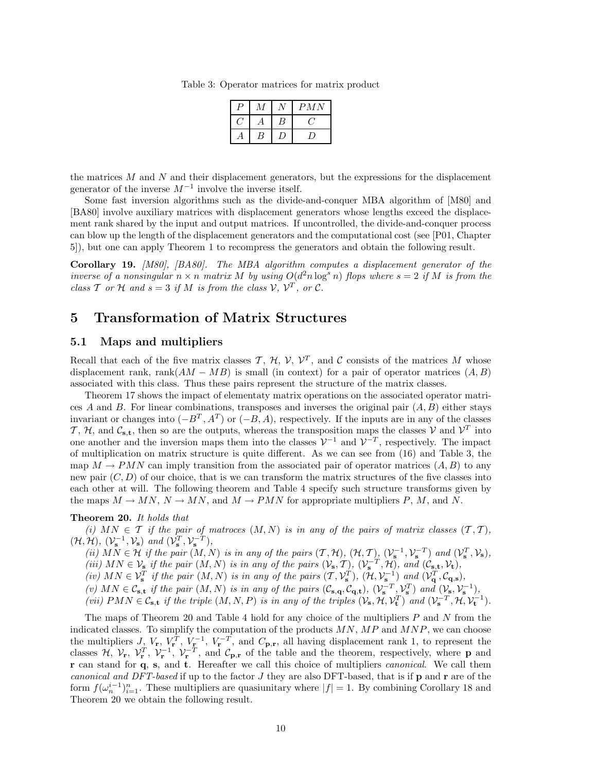Table 3: Operator matrices for matrix product

| D |   |     | PMN                      |
|---|---|-----|--------------------------|
|   |   | В   | $\overline{\phantom{a}}$ |
| Α | B | , ו |                          |

the matrices *M* and *N* and their displacement generators, but the expressions for the displacement generator of the inverse  $M^{-1}$  involve the inverse itself.

Some fast inversion algorithms such as the divide-and-conquer MBA algorithm of [M80] and [BA80] involve auxiliary matrices with displacement generators whose lengths exceed the displacement rank shared by the input and output matrices. If uncontrolled, the divide-and-conquer process can blow up the length of the displacement generators and the computational cost (see [P01, Chapter 5]), but one can apply Theorem 1 to recompress the generators and obtain the following result.

**Corollary 19.** *[M80], [BA80]. The MBA algorithm computes a displacement generator of the inverse of a nonsingular*  $n \times n$  *matrix*  $M$  *by using*  $O(d^2 n \log^s n)$  *flops where*  $s = 2$  *if*  $M$  *is from the class*  $\mathcal{T}$  *or*  $\mathcal{H}$  *and*  $s = 3$  *if*  $M$  *is from the class*  $\mathcal{V}$ *,*  $\mathcal{V}^T$ *, or*  $\mathcal{C}$ *.* 

### **5 Transformation of Matrix Structures**

#### **5.1 Maps and multipliers**

Recall that each of the five matrix classes  $\mathcal{T}, \mathcal{H}, \mathcal{V}, \mathcal{V}^T$ , and  $\mathcal{C}$  consists of the matrices M whose displacement rank,  $rank(AM - MB)$  is small (in context) for a pair of operator matrices  $(A, B)$ associated with this class. Thus these pairs represent the structure of the matrix classes.

Theorem 17 shows the impact of elementaty matrix operations on the associated operator matrices *A* and *B*. For linear combinations, transposes and inverses the original pair (*A, B*) either stays invariant or changes into  $(-B^T, A^T)$  or  $(-B, A)$ , respectively. If the inputs are in any of the classes T, H, and  $C_{s,t}$ , then so are the outputs, whereas the transposition maps the classes V and  $V^T$  into one another and the inversion maps them into the classes  $V^{-1}$  and  $V^{-T}$ , respectively. The impact of multiplication on matrix structure is quite different. As we can see from (16) and Table 3, the map  $M \to PMN$  can imply transition from the associated pair of operator matrices  $(A, B)$  to any new pair (*C, D*) of our choice, that is we can transform the matrix structures of the five classes into each other at will. The following theorem and Table 4 specify such structure transforms given by the maps  $M \to MN$ ,  $N \to MN$ , and  $M \to PMN$  for appropriate multipliers P, M, and N.

#### **Theorem 20.** *It holds that*

(*i*)  $MN \in \mathcal{T}$  *if the pair of matroces*  $(M, N)$  *is in any of the pairs of matrix classes*  $(\mathcal{T}, \mathcal{T})$ *,*  $(\mathcal{H}, \mathcal{H}), (\mathcal{V}_{\mathbf{s}}^{-1}, \mathcal{V}_{\mathbf{s}})$  and  $(\mathcal{V}_{\mathbf{s}}^{T}, \mathcal{V}_{\mathbf{s}}^{-T}),$ 

(ii)  $MN \in \mathcal{H}$  if the pair  $(M, N)$  is in any of the pairs  $(\mathcal{T}, \mathcal{H})$ ,  $(\mathcal{H}, \mathcal{T})$ ,  $(\mathcal{V}_{s}^{-1}, \mathcal{V}_{s}^{-T})$  and  $(\mathcal{V}_{s}^{T}, \mathcal{V}_{s})$ ,

- (iii)  $MN \in V_s$  if the pair  $(M, N)$  is in any of the pairs  $(V_s, \mathcal{T}), (V_s^{-T}, \mathcal{H}),$  and  $(\mathcal{C}_{s,t}, \mathcal{V}_t)$ ,
- (iv)  $MN \in \mathcal{V}_{s}^{T}$  if the pair  $(M, N)$  is in any of the pairs  $(\mathcal{T}, \mathcal{V}_{s}^{T})$ ,  $(\mathcal{H}, \mathcal{V}_{s}^{-1})$  and  $(\mathcal{V}_{q}^{T}, \mathcal{C}_{q,s})$ ,
- (v)  $MN \in \mathcal{C}_{s,t}$  if the pair  $(M, N)$  is in any of the pairs  $(\mathcal{C}_{s,q}, \mathcal{C}_{q,t}), (\mathcal{V}_{s}^{-T}, \mathcal{V}_{s}^{T})$  and  $(\mathcal{V}_{s}, \mathcal{V}_{s}^{-1}),$ (vii)  $PMN \in \mathcal{C}_{s,t}$  if the triple  $(M, N, P)$  is in any of the triples  $(\mathcal{V}_s, \mathcal{H}, \mathcal{V}_t^T)$  and  $(\mathcal{V}_s^{-T}, \mathcal{H}, \mathcal{V}_t^{-1})$ .

The maps of Theorem 20 and Table 4 hold for any choice of the multipliers *P* and *N* from the indicated classes. To simplify the computation of the products *MN*, *MP* and *MNP*, we can choose the multipliers  $J, V_{\mathbf{r}}, V_{\mathbf{r}}^T, V_{\mathbf{r}}^{-1}, V_{\mathbf{r}}^{-T}$ , and  $C_{\mathbf{p},\mathbf{r}}$ , all having displacement rank 1, to represent the classes  $\mathcal{H}$ ,  $\mathcal{V}_r$ ,  $\mathcal{V}_r^T$ ,  $\mathcal{V}_r^{-T}$ ,  $\mathcal{V}_r^{-T}$ , and  $\mathcal{C}_{p,r}$  of the table and the theorem, respectively, where **p** and **r** can stand for **q**, **s**, and **t**. Hereafter we call this choice of multipliers *canonical*. We call them *canonical and DFT-based* if up to the factor *J* they are also DFT-based, that is if **p** and **r** are of the form  $f(\omega_n^{i-1})_{i=1}^n$ . These multipliers are quasiunitary where  $|f|=1$ . By combining Corollary 18 and Theorem 20 we obtain the following result.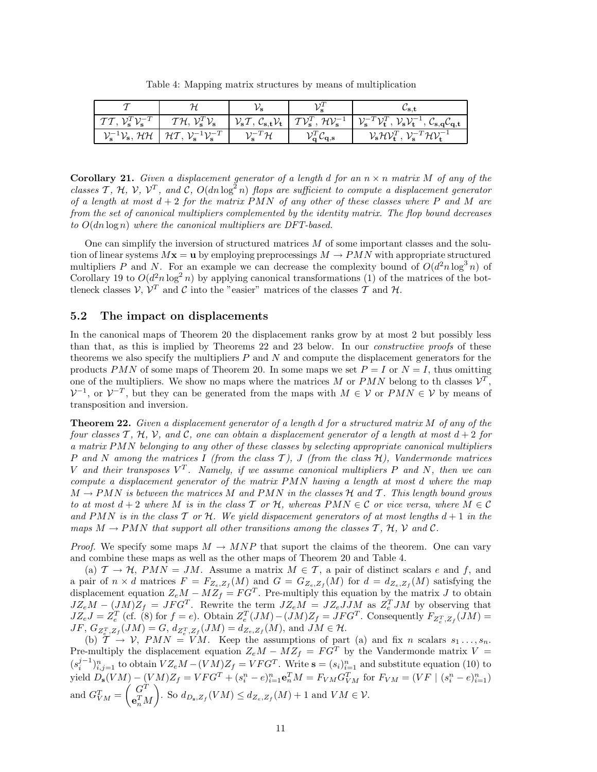Table 4: Mapping matrix structures by means of multiplication

|                                                                                    |                                                                                                              |                                          |                                                                 | $\mathsf{\nu_{S}}$ .t.                                                                                                                                                                                                                                           |
|------------------------------------------------------------------------------------|--------------------------------------------------------------------------------------------------------------|------------------------------------------|-----------------------------------------------------------------|------------------------------------------------------------------------------------------------------------------------------------------------------------------------------------------------------------------------------------------------------------------|
| $\mathcal{T}\mathcal{T},\,\mathcal{V}_{\mathbf{s}}^T\mathcal{V}_{\mathbf{s}}^{-T}$ | $T{\cal H},\, {\cal V}_{\bf s}^T{\cal V}_{\bf s}$                                                            |                                          |                                                                 | $\left  \mathcal{V}_s \mathcal{T}, \mathcal{C}_{s,t} \mathcal{V}_t \right  \mathcal{T} \mathcal{V}_s^T, \mathcal{H} \mathcal{V}_s^{-1} \left  \mathcal{V}_s^{-T} \mathcal{V}_t^T, \mathcal{V}_s \mathcal{V}_t^{-1}, \mathcal{C}_{s,q} \mathcal{C}_{q,t} \right $ |
|                                                                                    | $\mathcal{V}_s^{-1}\mathcal{V}_s$ , $\mathcal{HH}$   $\mathcal{HT}$ , $\mathcal{V}_s^{-1}\mathcal{V}_s^{-T}$ | $\mathcal{V}_\mathbf{s}^{-T}\mathcal{H}$ | $\mathcal{V}_{\mathbf{q}}^T\mathcal{C}_{\mathbf{q},\mathbf{s}}$ | $\mathcal{V}_s \mathcal{H} \mathcal{V}_t^T$ , $\mathcal{V}_s^{-T} \mathcal{H} \mathcal{V}_t^{-1}$                                                                                                                                                                |

**Corollary 21.** *Given a displacement generator of a length d for an*  $n \times n$  *matrix M of any of the classes*  $T$ ,  $H$ ,  $V$ ,  $V^T$ , and  $C$ ,  $O(dn \log^2 n)$  flops are sufficient to compute a displacement generator *of a length at most*  $d + 2$  *for the matrix*  $PMN$  *of any other of these classes where*  $P$  *and*  $M$  *are from the set of canonical multipliers complemented by the identity matrix. The flop bound decreases to O*(*dn* log *n*) *where the canonical multipliers are DFT-based.*

One can simplify the inversion of structured matrices *M* of some important classes and the solution of linear systems  $M$ **x** = **u** by employing preprocessings  $M \rightarrow PMN$  with appropriate structured multipliers *P* and *N*. For an example we can decrease the complexity bound of  $O(d^2n \log^3 n)$  of Corollary 19 to  $O(d^2n \log^2 n)$  by applying canonical transformations (1) of the matrices of the bottleneck classes  $V, V^T$  and C into the "easier" matrices of the classes  $T$  and  $H$ .

#### **5.2 The impact on displacements**

In the canonical maps of Theorem 20 the displacement ranks grow by at most 2 but possibly less than that, as this is implied by Theorems 22 and 23 below. In our *constructive proofs* of these theorems we also specify the multipliers *P* and *N* and compute the displacement generators for the products *PMN* of some maps of Theorem 20. In some maps we set  $P = I$  or  $N = I$ , thus omitting one of the multipliers. We show no maps where the matrices *M* or *PMN* belong to th classes  $V<sup>T</sup>$ ,  $V^{-1}$ , or  $V^{-T}$ , but they can be generated from the maps with  $M \in V$  or  $PMN \in V$  by means of transposition and inversion.

**Theorem 22.** *Given a displacement generator of a length d for a structured matrix M of any of the four classes*  $\mathcal{T}, \mathcal{H}, \mathcal{V},$  and  $\mathcal{C},$  one can obtain a displacement generator of a length at most  $d+2$  for *a matrix PMN belonging to any other of these classes by selecting appropriate canonical multipliers P and N among the matrices I (from the class* T *), J (from the class* H*), Vandermonde matrices V* and their transposes  $V<sup>T</sup>$ . Namely, if we assume canonical multipliers P and N, then we can *compute a displacement generator of the matrix PMN having a length at most d where the map*  $M \rightarrow PMN$  *is between the matrices M and PMN in the classes*  $H$  *and*  $T$ *. This length bound grows to at most*  $d+2$  *where*  $M$  *is in the class*  $T$  *or*  $H$ *, whereas*  $PMN \in \mathcal{C}$  *or vice versa, where*  $M \in \mathcal{C}$ and PMN is in the class  $\mathcal{T}$  or  $\mathcal{H}$ . We yield dispacement generators of at most lengths  $d+1$  in the *maps*  $M \rightarrow PMN$  *that support all other transitions among the classes*  $\mathcal{T}, \mathcal{H}, \mathcal{V}$  *and*  $\mathcal{C}$ *.* 

*Proof.* We specify some maps  $M \to MNP$  that suport the claims of the theorem. One can vary and combine these maps as well as the other maps of Theorem 20 and Table 4.

(a)  $\mathcal{T} \to \mathcal{H}$ ,  $PMN = JM$ . Assume a matrix  $M \in \mathcal{T}$ , a pair of distinct scalars *e* and *f*, and a pair of  $n \times d$  matrices  $F = F_{Z_e, Z_f}(M)$  and  $G = G_{Z_e, Z_f}(M)$  for  $d = d_{Z_e, Z_f}(M)$  satisfying the displacement equation  $Z_eM - MZ_f = FG^T$ . Pre-multiply this equation by the matrix *J* to obtain  $JZ_eM - (JM)Z_f = JFG^T$ . Rewrite the term  $JZ_eM = JZ_eJJM$  as  $Z_e^TJM$  by observing that  $JZ_eJ = Z_e^T$  (cf. (8) for  $f = e$ ). Obtain  $Z_e^T(JM) - (JM)Z_f = JFG^T$ . Consequently  $F_{Z_e^T, Z_f}(JM) =$  $JF, G_{Z_{e}^{T},Z_{f}}(JM) = G, d_{Z_{e}^{T},Z_{f}}(JM) = d_{Z_{e},Z_{f}}(M)$ , and  $JM \in \mathcal{H}$ .

(b)  $\tilde{T} \rightarrow V$ , *PMN* =  $VM$ . Keep the assumptions of part (a) and fix *n* scalars  $s_1 \dots, s_n$ . Pre-multiply the displacement equation  $Z_e M - M Z_f = FG^T$  by the Vandermonde matrix  $V =$  $(s_i^{j-1})_{i,j=1}^n$  to obtain  $VZ_eM-(VM)Z_f=VFG^T$ . Write  $\mathbf{s}=(s_i)_{i=1}^n$  and substitute equation (10) to yield  $D_{s}(VM) - (VM)Z_{f} = VFG^{T} + (s_{i}^{n} - e)_{i=1}^{n} e_{n}^{T} M = F_{VM} G_{VM}^{T}$  for  $F_{VM} = (VF \mid (s_{i}^{n} - e)_{i=1}^{n})$ and  $G_{VM}^T = \begin{pmatrix} G^T \\ e^T \end{pmatrix}$  $\mathbf{e}_n^T M$  $\left( \sum_{i=1}^{n} (VM) \leq d_{Z_e, Z_f}(M) + 1 \text{ and } VM \in \mathcal{V}. \right)$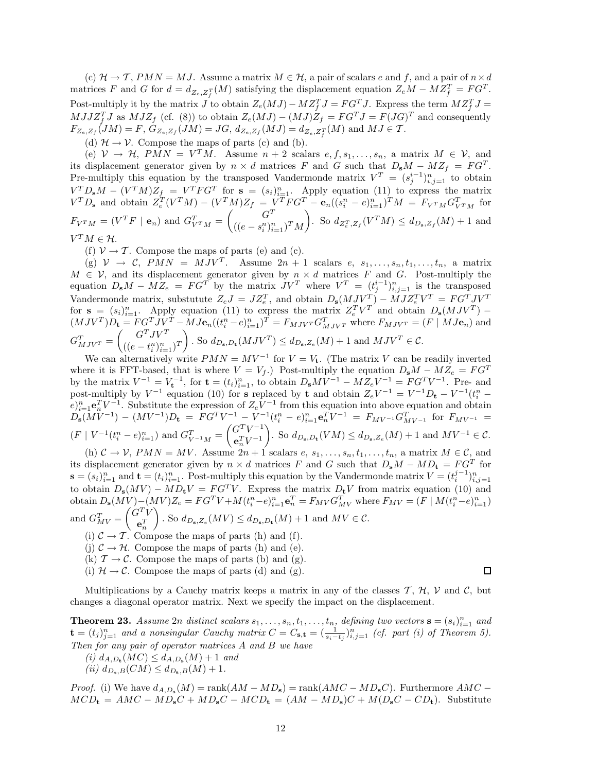(c)  $\mathcal{H} \to \mathcal{T}$ , *PMN* = *MJ*. Assume a matrix  $M \in \mathcal{H}$ , a pair of scalars *e* and *f*, and a pair of  $n \times d$ matrices *F* and *G* for  $d = d_{Z_e, Z_f^T}(M)$  satisfying the displacement equation  $Z_e M - M Z_f^T = F G^T$ . Post-multiply it by the matrix *J* to obtain  $Z_e(MJ) - MZ_f^TJ = FG^TJ$ . Express the term  $MZ_f^TJ =$  $MJJZ_f^TJ$  as  $MJZ_f$  (cf. (8)) to obtain  $Z_e(MJ) - (MJ)Z_f = FG^TJ = F(JG)^T$  and consequently  $F_{Z_e, Z_f}(JM) = F, G_{Z_e, Z_f}(JM) = JG, d_{Z_e, Z_f}(MJ) = d_{Z_e, Z_f^T}(M)$  and  $MJ \in T$ .

(d)  $\mathcal{H} \rightarrow \mathcal{V}$ . Compose the maps of parts (c) and (b).

(e)  $V \rightarrow H$ , *PMN* =  $V^T M$ . Assume  $n+2$  scalars  $e, f, s_1, \ldots, s_n$ , a matrix  $M \in V$ , and its displacement generator given by  $n \times d$  matrices *F* and *G* such that  $D_s M - M Z_f = FG^T$ . Pre-multiply this equation by the transposed Vandermonde matrix  $V^T = (s_j^{i-1})_{i,j=1}^n$  to obtain  $V^T P_s M - (V^T M) Z_f = V^T F G^T$  for  $\mathbf{s} = (s_i)_{i=1}^n$ . Apply equation (11) to express the matrix  $V^T D_s$  and obtain  $Z_e^T (V^T M) - (V^T M) Z_f = V^T F G^T - e_n ((s_i^n - e)_{i=1}^n)^T M = F_{V^T M} G_{V^T M}^T$  for  $F_{V^{T}M} = (V^{T}F \mid \mathbf{e}_n)$  and  $G_{V^{T}M}^{T} = \begin{pmatrix} G^{T} & G^{T} \ (e - s^{n})^{n} \end{pmatrix}$  $((e - s_i^n)_{i=1}^n)^T M$  $\left( \sum_{i=1}^{n} a_i X_i^T (V^T M) \leq d_{D_s, Z_f}(M) + 1 \text{ and }$  $V^T M \in \mathcal{H}$ .

(f)  $V \rightarrow T$ . Compose the maps of parts (e) and (c).

(g)  $V \rightarrow C$ , *PMN* =  $MJV$ <sup>T</sup>. Assume  $2n+1$  scalars  $e, s_1, \ldots, s_n, t_1, \ldots, t_n$ , a matrix  $M \in V$ , and its displacement generator given by  $n \times d$  matrices F and G. Post-multiply the equation  $D_s M - M Z_e = FG^T$  by the matrix  $J V^T$  where  $V^T = (t_j^{i-1})_{i,j=1}^n$  is the transposed Vandermonde matrix, substutute  $Z_eJ = JZ_e^T$ , and obtain  $D_s(MJV^T) - MJZ_e^TV^T = FG^TJV^T$ for  $\mathbf{s} = (s_i)_{i=1}^n$ . Apply equation (11) to express the matrix  $Z_e^T V^T$  and obtain  $D_s(MJV^T)$  –  $(MJV^T)D_{\mathbf{t}} = FG^TJV^T - MJ\mathbf{e}_n((t_i^n - e)_{i=1}^n)^T = F_{MJV^T}G^T_{MJV^T}$  where  $F_{MJV^T} = (F \mid MJ\mathbf{e}_n)$  and  $G_{MJV^T}^T = \begin{pmatrix} G^T J V^T \ (e - t^n)^n \end{pmatrix}$  $((e - t_i^n)_{i=1}^n)^T$  $\left( M J V^T \right) \leq d_{D_{\bf s},Z_{\bf s}}(M) + 1$  and  $MJ V^T \in \mathcal{C}$ .

We can alternatively write  $PMN = MV^{-1}$  for  $V = V_t$ . (The matrix *V* can be readily inverted where it is FFT-based, that is where  $V = V_f$ .) Post-multiply the equation  $D_s M - M Z_e = F G^T$ by the matrix  $V^{-1} = V_t^{-1}$ , for  $\mathbf{t} = (t_i)_{i=1}^n$ , to obtain  $D_sMV^{-1} - MZ_eV^{-1} = FG^TV^{-1}$ . Pre- and post-multiply by  $V^{-1}$  equation (10) for **s** replaced by **t** and obtain  $Z_eV^{-1} = V^{-1}D_t - V^{-1}(t_i^n$  $e^{n} = e^{n}$ **v**  $V^{-1}$ . Substitute the expression of  $Z_eV^{-1}$  from this equation into above equation and obtain  $D_{s}(MV^{-1}) - (MV^{-1})D_{t} = FG^{T}V^{-1} - V^{-1}(t_{i}^{n} - e)_{i=1}^{n}e_{n}^{T}V^{-1} = F_{MV^{-1}}G_{MV^{-1}}^{T}$  for  $F_{MV^{-1}} =$  $(F | V^{-1}(t_i^n - e)_{i=1}^n)$  and  $G_{V^{-1}M}^T = \begin{pmatrix} G^T V^{-1} \\ e^T V^{-1} \end{pmatrix}$  $\mathbf{e}_n^T V^{-1}$ ). So  $d_{D_s, D_t}(VM)$  ≤  $d_{D_s, Z_e}(M) + 1$  and  $MV^{-1} \in \mathcal{C}$ .

(h)  $C \rightarrow V$ , *PMN* = *MV*. Assume  $2n + 1$  scalars *e*,  $s_1, \ldots, s_n, t_1, \ldots, t_n$ , a matrix  $M \in C$ , and its displacement generator given by  $n \times d$  matrices *F* and *G* such that  $D_s M - M D_t = FG^T$  for  $\mathbf{s} = (s_i)_{i=1}^n$  and  $\mathbf{t} = (t_i)_{i=1}^n$ . Post-multiply this equation by the Vandermonde matrix  $V = (t_i^{j-1})_{i,j}^n$  $\mathbf{I} = (s_i)_{i=1}^T$  and  $\mathbf{t} = (t_i)_{i=1}^T$ . If ost-indiciply this equation by the vandermonde matrix  $\mathbf{v} = (t_i - t_{i,j})_{i,j=1}^T$  to obtain  $D_s(MV) - MD_tV = FG^TV$ . Express the matrix  $D_tV$  from matrix equation (10) and obtain  $D_{s}(MV) - (MV)Z_e = FG^T V + M(t_i^n - e)_{i=1}^n$   $\mathbf{e}_n^T = F_{MV}G_{MV}^T$  where  $F_{MV} = (F \mid M(t_i^n - e)_{i=1}^n)$ and  $G_{MV}^T = \begin{pmatrix} G^T V \\ e^T \end{pmatrix}$  $\left( \int$ . So  $d_{D_{s},Z_{e}}(MV) \leq d_{D_{s},D_{t}}(M) + 1$  and  $MV \in \mathcal{C}$ .  $\mathbf{e}_n^T$ (i)  $C \rightarrow T$ . Compose the maps of parts (h) and (f). (j)  $C \rightarrow H$ . Compose the maps of parts (h) and (e). (k)  $\mathcal{T} \to \mathcal{C}$ . Compose the maps of parts (b) and (g). (i)  $\mathcal{H} \rightarrow \mathcal{C}$ . Compose the maps of parts (d) and (g). ◻

Multiplications by a Cauchy matrix keeps a matrix in any of the classes  $\mathcal{T}, \mathcal{H}, \mathcal{V}$  and  $\mathcal{C}$ , but changes a diagonal operator matrix. Next we specify the impact on the displacement.

**Theorem 23.** Assume 2n distinct scalars  $s_1, \ldots, s_n, t_1, \ldots, t_n$ , defining two vectors  $\mathbf{s} = (s_i)_{i=1}^n$  and  $\mathbf{t} = (t_j)_{j=1}^n$  and a nonsingular Cauchy matrix  $C = C_{\mathbf{s}, \mathbf{t}} = (\frac{1}{s_i - t_j})_{i,j=1}^n$  (cf. part (i) of Theorem 5). *Then for any pair of operator matrices A and B we have*

- $(i)$   $d_{A, D_t}(MC) \leq d_{A, D_s}(M) + 1$  *and*
- $(iii)$   $d_{D_{\mathbf{s}},B}(CM) \leq d_{D_{\mathbf{t}},B}(M) + 1.$

*Proof.* (i) We have  $d_{A,D_8}(M) = \text{rank}(AM - MD_8) = \text{rank}(AMC - MD_8C)$ . Furthermore  $AMC MCD_{\mathbf{t}} = AMC - MD_{\mathbf{s}}C + MD_{\mathbf{s}}C - MCD_{\mathbf{t}} = (AM - MD_{\mathbf{s}})C + M(D_{\mathbf{s}}C - CD_{\mathbf{t}})$ . Substitute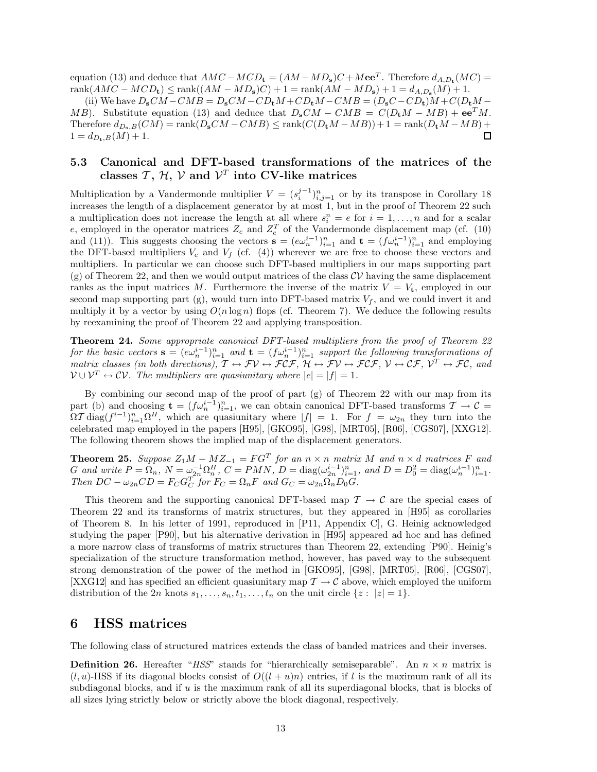equation (13) and deduce that  $AMC - MCD$ **t** =  $(AM - MD_s)C + Mee^T$ . Therefore  $d_{A,D_s}(MC)$  =  $rank(AMC - MCD_{t}) \leq rank((AM - MD_{s})C) + 1 = rank(AM - MD_{s}) + 1 = d_{A,D_{s}}(M) + 1.$ 

(ii) We have  $D_sCM-CMB = D_sCM-CD_tM+CD_tM-CMB = (D_sC-CD_t)M+C(D_tM-CD_tM)$ *MB*). Substitute equation (13) and deduce that  $D_{\bf s}CM - CMB = C(D_{\bf t}M - MB) + {\bf e}e^T M$ . Therefore  $d_{D_s,B}(CM) = \text{rank}(D_sCM - CMB) \leq \text{rank}(C(D_tM - MB) + 1 = \text{rank}(D_tM - MB) +$  $1 = d_{D_{\bullet},B}(M) + 1.$ П

#### **5.3 Canonical and DFT-based transformations of the matrices of the** classes  $\mathcal{T}, \mathcal{H}, \mathcal{V}$  and  $\mathcal{V}^T$  into CV-like matrices

Multiplication by a Vandermonde multiplier  $V = (s_i^{j-1})_{i,j=1}^n$  or by its transpose in Corollary 18 increases the length of a displacement generator by at most 1, but in the proof of Theorem 22 such a multiplication does not increase the length at all where  $s_i^n = e$  for  $i = 1, \ldots, n$  and for a scalar *e*, employed in the operator matrices  $Z_e$  and  $Z_e^T$  of the Vandermonde displacement map (cf. (10) and (11)). This suggests choosing the vectors  $\mathbf{s} = (e\omega_n^{i-1})_{i=1}^n$  and  $\mathbf{t} = (f\omega_n^{i-1})_{i=1}^n$  and employing the DFT-based multipliers  $V_e$  and  $V_f$  (cf. (4)) wherever we are free to choose these vectors and multipliers. In particular we can choose such DFT-based multipliers in our maps supporting part (g) of Theorem 22, and then we would output matrices of the class  $CV$  having the same displacement ranks as the input matrices M. Furthermore the inverse of the matrix  $V = V_t$ , employed in our second map supporting part  $(g)$ , would turn into DFT-based matrix  $V_f$ , and we could invert it and multiply it by a vector by using  $O(n \log n)$  flops (cf. Theorem 7). We deduce the following results by reexamining the proof of Theorem 22 and applying transposition.

**Theorem 24.** *Some appropriate canonical DFT-based multipliers from the proof of Theorem 22 for the basic vectors*  $\mathbf{s} = (e\omega_n^{i-1})_{i=1}^n$  *and*  $\mathbf{t} = (f\omega_n^{i-1})_{i=1}^n$  *support the following transformations of matrix classes (in both directions),*  $\mathcal{T} \leftrightarrow \mathcal{F} \mathcal{V} \leftrightarrow \mathcal{F} \mathcal{C} \mathcal{F}$ ,  $\mathcal{H} \leftrightarrow \mathcal{F} \mathcal{V} \leftrightarrow \mathcal{F} \mathcal{C} \mathcal{F}$ ,  $\mathcal{V} \leftrightarrow \mathcal{C} \mathcal{F}$ ,  $\mathcal{V}^T \leftrightarrow \mathcal{F} \mathcal{C}$ , and  $V \cup V^T \leftrightarrow CV$ *. The multipliers are quasiunitary where*  $|e| = |f| = 1$ *.* 

By combining our second map of the proof of part (g) of Theorem 22 with our map from its part (b) and choosing  $\mathbf{t} = (f\omega_n^{i-1})_{i=1}^n$ , we can obtain canonical DFT-based transforms  $\mathcal{T} \to \mathcal{C}$  $\Omega \mathcal{T}$  diag $(f^{i-1})_{i=1}^n \Omega^H$ , which are quasiunitary where  $|f| = 1$ . For  $f = \omega_{2n}$  they turn into the celebrated map employed in the papers [H95], [GKO95], [G98], [MRT05], [R06], [CGS07], [XXG12]. The following theorem shows the implied map of the displacement generators.

**Theorem 25.** Suppose  $Z_1M - MZ_{-1} = FG^T$  for an  $n \times n$  matrix  $M$  and  $n \times d$  matrices  $F$  and G and write  $P = \Omega_n$ ,  $N = \omega_{2n}^{-1} \Omega_n^H$ ,  $C = PMN$ ,  $D = \text{diag}(\omega_{2n}^{i-1})_{i=1}^n$ , and  $D = D_0^2 = \text{diag}(\omega_n^{i-1})_{i=1}^n$ . *Then*  $DC - \omega_{2n}CD = F_C G_C^T$  *for*  $F_C = \Omega_n F$  *and*  $G_C = \omega_{2n} \Omega_n D_0 G$ *.* 

This theorem and the supporting canonical DFT-based map  $\mathcal{T} \to \mathcal{C}$  are the special cases of Theorem 22 and its transforms of matrix structures, but they appeared in [H95] as corollaries of Theorem 8. In his letter of 1991, reproduced in [P11, Appendix C], G. Heinig acknowledged studying the paper [P90], but his alternative derivation in [H95] appeared ad hoc and has defined a more narrow class of transforms of matrix structures than Theorem 22, extending [P90]. Heinig's specialization of the structure transformation method, however, has paved way to the subsequent strong demonstration of the power of the method in [GKO95], [G98], [MRT05], [R06], [CGS07], [XXG12] and has specified an efficient quasiunitary map  $\mathcal{T} \to \mathcal{C}$  above, which employed the uniform distribution of the 2*n* knots  $s_1, \ldots, s_n, t_1, \ldots, t_n$  on the unit circle  $\{z : |z| = 1\}.$ 

#### **6 HSS matrices**

The following class of structured matrices extends the class of banded matrices and their inverses.

**Definition 26.** Hereafter "*HSS*" stands for "hierarchically semiseparable". An  $n \times n$  matrix is  $(l, u)$ -HSS if its diagonal blocks consist of  $O((l + u)n)$  entries, if l is the maximum rank of all its subdiagonal blocks, and if *u* is the maximum rank of all its superdiagonal blocks, that is blocks of all sizes lying strictly below or strictly above the block diagonal, respectively.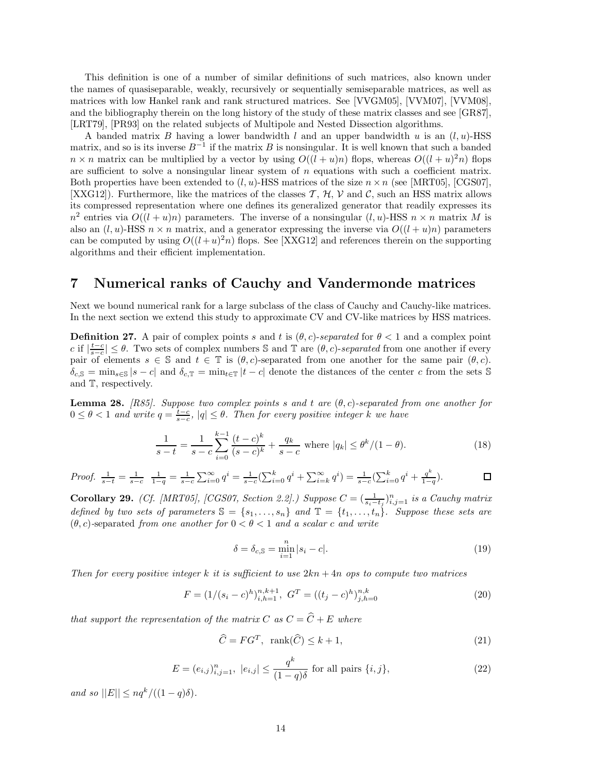This definition is one of a number of similar definitions of such matrices, also known under the names of quasiseparable, weakly, recursively or sequentially semiseparable matrices, as well as matrices with low Hankel rank and rank structured matrices. See [VVGM05], [VVM07], [VVM08], and the bibliography therein on the long history of the study of these matrix classes and see [GR87], [LRT79], [PR93] on the related subjects of Multipole and Nested Dissection algorithms.

A banded matrix *B* having a lower bandwidth *l* and an upper bandwidth *u* is an (*l, u*)-HSS matrix, and so is its inverse  $B^{-1}$  if the matrix *B* is nonsingular. It is well known that such a banded  $n \times n$  matrix can be multiplied by a vector by using  $O((l + u)n)$  flops, whereas  $O((l + u)^2n)$  flops are sufficient to solve a nonsingular linear system of *n* equations with such a coefficient matrix. Both properties have been extended to  $(l, u)$ -HSS matrices of the size  $n \times n$  (see [MRT05], [CGS07], [XXG12]). Furthermore, like the matrices of the classes T, H, V and C, such an HSS matrix allows its compressed representation where one defines its generalized generator that readily expresses its  $n^2$  entries via  $O((l + u)n)$  parameters. The inverse of a nonsingular  $(l, u)$ -HSS  $n \times n$  matrix M is also an  $(l, u)$ -HSS  $n \times n$  matrix, and a generator expressing the inverse via  $O((l + u)n)$  parameters can be computed by using  $O((l+u)^2n)$  flops. See [XXG12] and references therein on the supporting algorithms and their efficient implementation.

### **7 Numerical ranks of Cauchy and Vandermonde matrices**

Next we bound numerical rank for a large subclass of the class of Cauchy and Cauchy-like matrices. In the next section we extend this study to approximate CV and CV-like matrices by HSS matrices.

**Definition 27.** A pair of complex points *s* and *t* is  $(\theta, c)$ -*separated* for  $\theta < 1$  and a complex point  $c$  if  $|\frac{t-c}{s-c}| \leq \theta$ . Two sets of complex numbers  $\mathbb S$  and  $\mathbb T$  are  $(\theta, c)$ -*separated* from one another if every pair of elements  $s \in \mathbb{S}$  and  $t \in \mathbb{T}$  is  $(\theta, c)$ -separated from one another for the same pair  $(\theta, c)$ .  $\delta_{c,S} = \min_{s \in S} |s - c|$  and  $\delta_{c,T} = \min_{t \in T} |t - c|$  denote the distances of the center *c* from the sets S and T, respectively.

**Lemma 28.** *[R85]. Suppose two complex points s and t are* (*θ, c*)*-separated from one another for*  $0 \leq \theta < 1$  and write  $q = \frac{t-c}{s-c}$ ,  $|q| \leq \theta$ . Then for every positive integer  $k$  we have

$$
\frac{1}{s-t} = \frac{1}{s-c} \sum_{i=0}^{k-1} \frac{(t-c)^k}{(s-c)^k} + \frac{q_k}{s-c} \text{ where } |q_k| \le \theta^k / (1-\theta). \tag{18}
$$

*Proof.* 
$$
\frac{1}{s-t} = \frac{1}{s-c} \quad \frac{1}{1-q} = \frac{1}{s-c} \sum_{i=0}^{\infty} q^i = \frac{1}{s-c} (\sum_{i=0}^k q^i + \sum_{i=k}^{\infty} q^i) = \frac{1}{s-c} (\sum_{i=0}^k q^i + \frac{q^k}{1-q}).
$$

**Corollary 29.** *(Cf. [MRT05], [CGS07, Section 2.2].) Suppose*  $C = (\frac{1}{s_i - t_j})_{i,j=1}^n$  *is a Cauchy matrix defined by two sets of parameters*  $\mathbb{S} = \{s_1, \ldots, s_n\}$  and  $\mathbb{T} = \{t_1, \ldots, t_n\}$ *. Suppose these sets are*  $(\theta, c)$ -separated *from one another for*  $0 < \theta < 1$  *and a scalar c and write* 

$$
\delta = \delta_{c,S} = \min_{i=1}^{n} |s_i - c|.
$$
 (19)

*Then for every positive integer k it is sufficient to use* 2*kn* + 4*n ops to compute two matrices*

$$
F = (1/(s_i - c)^h)_{i,h=1}^{n,k+1}, G^T = ((t_j - c)^h)_{j,h=0}^{n,k}
$$
\n(20)

*that support the representation of the matrix*  $C$  *as*  $C = \hat{C} + E$  *where* 

$$
\widehat{C} = FG^T, \ \text{rank}(\widehat{C}) \le k + 1,\tag{21}
$$

$$
E = (e_{i,j})_{i,j=1}^n, |e_{i,j}| \le \frac{q^k}{(1-q)\delta} \text{ for all pairs } \{i,j\},\tag{22}
$$

 $and so$   $||E|| \leq nq^k /((1-q)\delta).$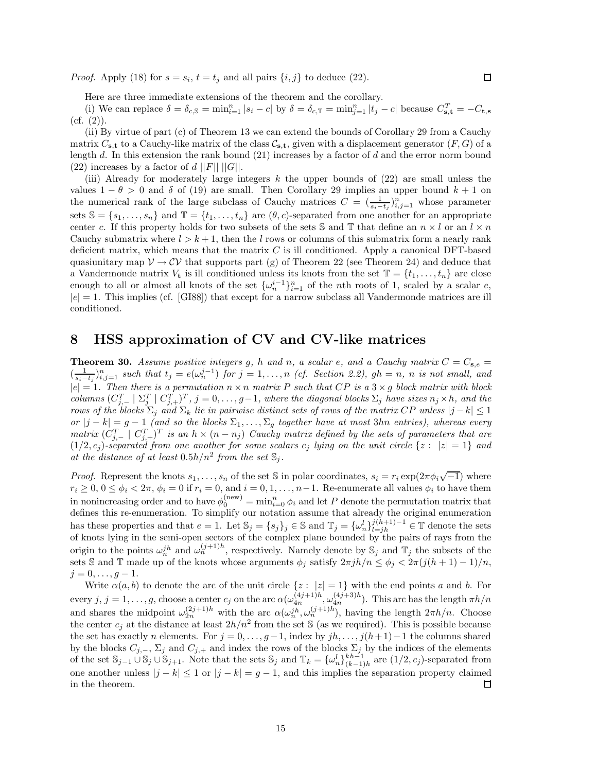*Proof.* Apply (18) for  $s = s_i$ ,  $t = t_j$  and all pairs  $\{i, j\}$  to deduce (22).

Here are three immediate extensions of the theorem and the corollary.

(i) We can replace  $\delta = \delta_{c,S} = \min_{i=1}^n |s_i - c|$  by  $\delta = \delta_{c,T} = \min_{j=1}^n |t_j - c|$  because  $C_{s,t}^T = -C_{t,s}$  $(cf. (2)).$ 

□

(ii) By virtue of part (c) of Theorem 13 we can extend the bounds of Corollary 29 from a Cauchy matrix  $C_{s,t}$  to a Cauchy-like matrix of the class  $C_{s,t}$ , given with a displacement generator  $(F, G)$  of a length *d*. In this extension the rank bound (21) increases by a factor of *d* and the error norm bound  $(22)$  increases by a factor of *d* ||F|| ||G||.

(iii) Already for moderately large integers *k* the upper bounds of (22) are small unless the values  $1 - \theta > 0$  and  $\delta$  of (19) are small. Then Corollary 29 implies an upper bound  $k + 1$  on the numerical rank of the large subclass of Cauchy matrices  $C = (\frac{1}{s_i - t_j})_{i,j=1}^n$  whose parameter sets  $\mathbb{S} = \{s_1, \ldots, s_n\}$  and  $\mathbb{T} = \{t_1, \ldots, t_n\}$  are  $(\theta, c)$ -separated from one another for an appropriate center *c*. If this property holds for two subsets of the sets S and T that define an  $n \times l$  or an  $l \times n$ Cauchy submatrix where  $l > k + 1$ , then the *l* rows or columns of this submatrix form a nearly rank deficient matrix, which means that the matrix *C* is ill conditioned. Apply a canonical DFT-based quasiunitary map  $V \to CV$  that supports part (g) of Theorem 22 (see Theorem 24) and deduce that a Vandermonde matrix  $V_t$  is ill conditioned unless its knots from the set  $\mathbb{T} = \{t_1, \ldots, t_n\}$  are close enough to all or almost all knots of the set  $\{\omega_n^{i-1}\}_{i=1}^n$  of the *n*th roots of 1, scaled by a scalar *e*,  $|e|=1$ . This implies (cf. [GI88]) that except for a narrow subclass all Vandermonde matrices are ill conditioned.

## **8 HSS approximation of CV and CV-like matrices**

**Theorem 30.** Assume positive integers g, h and n, a scalar e, and a Cauchy matrix  $C = C_{s,e}$  $(\frac{1}{s_i-t_j})_{i,j=1}^n$  such that  $t_j = e(\omega_n^{j-1})$  for  $j = 1, \ldots, n$  (cf. Section 2.2),  $gh = n$ , n is not small, and  $|e| = 1$ . Then there is a permutation  $n \times n$  matrix P such that CP is a  $3 \times g$  block matrix with block columns  $(C_{j,-}^T \mid \Sigma_j^T \mid C_{j,+}^T)^T$ ,  $j = 0, \ldots, g-1$ , where the diagonal blocks  $\Sigma_j$  have sizes  $n_j \times h$ , and the *rows of the blocks*  $\Sigma_j$  *and*  $\Sigma_k$  *lie in pairwise distinct sets of rows of the matrix CP unless*  $|j - k| \leq 1$  $\langle \text{or } |j-k| = g-1 \text{ (and so the blocks } \Sigma_1, \ldots, \Sigma_g \text{ together have at most 3}h\text{ and entries), whereas every } j \in \mathbb{Z}$ *matrix*  $(C_{j,-}^T \mid C_{j,+}^T)$ <sup>*T*</sup> *is an*  $h \times (n - n_j)$  *Cauchy matrix defined by the sets of parameters that are*  $(1/2, c_i)$ -separated from one another for some scalars  $c_i$  lying on the unit circle  $\{z : |z| = 1\}$  and *at the distance of at least*  $0.5h/n^2$  *from the set*  $\mathbb{S}_i$ .

*Proof.* Represent the knots  $s_1, \ldots, s_n$  of the set S in polar coordinates,  $s_i = r_i \exp(2\pi \phi_i \sqrt{-1})$  where  $r_i \geq 0, 0 \leq \phi_i < 2\pi$ ,  $\phi_i = 0$  if  $r_i = 0$ , and  $i = 0, 1, \ldots, n-1$ . Re-enumerate all values  $\phi_i$  to have them in nonincreasing order and to have  $\phi_0^{(new)} = \min_{i=0}^n \phi_i$  and let *P* denote the permutation matrix that defines this re-enumeration. To simplify our notation assume that already the original enumeration has these properties and that  $e = 1$ . Let  $\mathbb{S}_j = \{s_j\}_j \in \mathbb{S}$  and  $\mathbb{T}_j = \{\omega_n^l\}_{l=jh}^{j(h+1)-1} \in \mathbb{T}$  denote the sets of knots lying in the semi-open sectors of the complex plane bounded by the pairs of rays from the origin to the points  $\omega_n^{jh}$  and  $\omega_n^{(j+1)h}$ , respectively. Namely denote by  $\mathbb{S}_j$  and  $\mathbb{T}_j$  the subsets of the sets S and T made up of the knots whose arguments  $\phi_j$  satisfy  $2\pi jh/n \leq \phi_j < 2\pi(j(h+1)-1)/n$ ,  $j = 0, \ldots, g - 1.$ 

Write  $\alpha(a, b)$  to denote the arc of the unit circle  $\{z : |z| = 1\}$  with the end points *a* and *b*. For every  $j, j = 1, \ldots, g$ , choose a center  $c_j$  on the arc  $\alpha(\omega_{4n}^{(4j+1)h}, \omega_{4n}^{(4j+3)h})$ . This arc has the length  $\pi h/n$ and shares the midpoint  $\omega_{2n}^{(2j+1)h}$  with the arc  $\alpha(\omega_n^{jh}, \omega_n^{(j+1)h})$ , having the length  $2\pi h/n$ . Choose the center  $c_j$  at the distance at least  $2h/n^2$  from the set S (as we required). This is possible because the set has exactly *n* elements. For  $j = 0, \ldots, g-1$ , index by  $jh, \ldots, j(h+1)-1$  the columns shared by the blocks  $C_{j,-}$ ,  $\Sigma_j$  and  $C_{j,+}$  and index the rows of the blocks  $\Sigma_j$  by the indices of the elements of the set  $\mathbb{S}_{j-1} \cup \mathbb{S}_j \cup \mathbb{S}_{j+1}$ . Note that the sets  $\mathbb{S}_j$  and  $\mathbb{T}_k = {\{\omega_n^l\}_{(k-1)h}^{kh-1}}$  are  $(1/2, c_j)$ -separated from one another unless  $|j - k| \leq 1$  or  $|j - k| = g - 1$ , and this implies the separation property claimed in the theorem. 口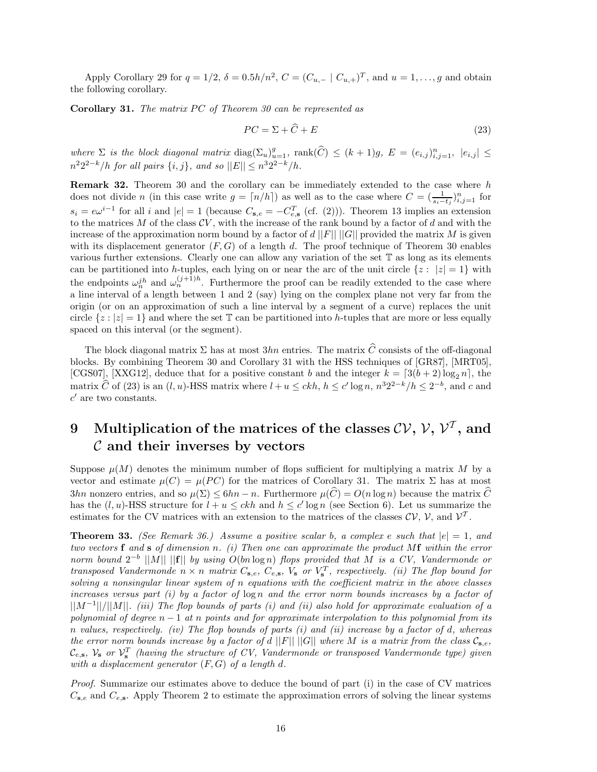Apply Corollary 29 for  $q = 1/2$ ,  $\delta = 0.5h/n^2$ ,  $C = (C_{u,-} | C_{u,+})^T$ , and  $u = 1, \ldots, q$  and obtain the following corollary.

**Corollary 31.** *The matrix PC* of *Theorem 30 can be represented as* 

$$
PC = \Sigma + \hat{C} + E \tag{23}
$$

where  $\Sigma$  is the block diagonal matrix  $\text{diag}(\Sigma_u)_{u=1}^g$ ,  $\text{rank}(\widehat{C}) \leq (k+1)g$ ,  $E = (e_{i,j})_{i,j=1}^n$ ,  $|e_{i,j}| \leq$  $n^2 2^{2-k}/h$  *for all pairs*  $\{i, j\}$ *, and so*  $||E|| \leq n^3 2^{2-k}/h$ *.* 

**Remark 32.** Theorem 30 and the corollary can be immediately extended to the case where *h* does not divide *n* (in this case write  $g = \lfloor n/h \rfloor$ ) as well as to the case where  $C = (\frac{1}{s_i - t_j})_{i,j=1}^n$  for  $s_i = e\omega^{i-1}$  for all *i* and  $|e| = 1$  (because  $C_{\mathbf{s},e} = -C_{e,\mathbf{s}}^T$  (cf. (2))). Theorem 13 implies an extension to the matrices  $M$  of the class  $CV$ , with the increase of the rank bound by a factor of  $d$  and with the increase of the approximation norm bound by a factor of  $d||F|| ||G||$  provided the matrix M is given with its displacement generator  $(F, G)$  of a length *d*. The proof technique of Theorem 30 enables various further extensions. Clearly one can allow any variation of the set T as long as its elements can be partitioned into *h*-tuples, each lying on or near the arc of the unit circle  $\{z : |z| = 1\}$  with the endpoints  $\omega_n^{jh}$  and  $\omega_n^{(j+1)h}$ . Furthermore the proof can be readily extended to the case where a line interval of a length between 1 and 2 (say) lying on the complex plane not very far from the origin (or on an approximation of such a line interval by a segment of a curve) replaces the unit circle  $\{z : |z| = 1\}$  and where the set  $\mathbb T$  can be partitioned into *h*-tuples that are more or less equally spaced on this interval (or the segment).

The block diagonal matrix  $\Sigma$  has at most  $3hn$  entries. The matrix  $\hat{C}$  consists of the off-diagonal blocks. By combining Theorem 30 and Corollary 31 with the HSS techniques of [GR87], [MRT05], [CGS07], [XXG12], deduce that for a positive constant *b* and the integer  $k = [3(b+2)\log_2 n]$ , the  $\text{matrix } C \text{ of } (23) \text{ is an } (l, u) \text{-HSS matrix where } l + u \leq ckh, h \leq c' \log n, n^3 2^{2-k} / h \leq 2^{-b}, \text{ and } c \text{ and } d' \leq 2^{-b}$  $c'$  are two constants.

# **9** Multiplication of the matrices of the classes  $CV, V, V^T$ , and C **and their inverses by vectors**

Suppose  $\mu(M)$  denotes the minimum number of flops sufficient for multiplying a matrix M by a vector and estimate  $\mu(C) = \mu(PC)$  for the matrices of Corollary 31. The matrix  $\Sigma$  has at most 3*hn* nonzero entries, and so  $\mu(\Sigma) \leq 6hn - n$ . Furthermore  $\mu(\widehat{C}) = O(n \log n)$  because the matrix  $\widehat{C}$ has the  $(l, u)$ -HSS structure for  $l + u \leq ckh$  and  $h \leq c' \log n$  (see Section 6). Let us summarize the estimates for the CV matrices with an extension to the matrices of the classes  $CV$ ,  $V$ , and  $V<sup>T</sup>$ .

**Theorem 33.** *(See Remark 36.) Assume a positive scalar b, a complex e such that*  $|e| = 1$ *, and two vectors* **f** *and* **s** *of dimension n. (i) Then one can approximate the product M***f** *within the error norm bound* 2−*<sup>b</sup>* ||*M*|| ||**f**|| *by using O*(*bn* log *n*) *flops provided that M is a CV, Vandermonde or* transposed Vandermonde  $n \times n$  matrix  $C_{s,e}$ ,  $C_{e,s}$ ,  $V_s$  or  $V_s^T$ , respectively. (ii) The flop bound for *solving a nonsingular linear system of n equations with the coefficient matrix in the above classes increases versus part (i) by a factor of*  $\log n$  *and the error norm bounds increases by a factor of* ||*M*−<sup>1</sup>||*/*||*M*||*. (iii) The flop bounds of parts (i) and (ii) also hold for approximate evaluation of a polynomial of degree n* − 1 *at n points and for approximate interpolation to this polynomial from its n values, respectively. (iv) The flop bounds of parts (i) and (ii) increase by a factor of d, whereas the error norm bounds increase by a factor of <i>d* ||F|| ||G|| *where M is a matrix from the class*  $C_{s,e}$ *,*  $\mathcal{C}_{e,s}$ ,  $\mathcal{V}_s$  or  $\mathcal{V}_s^T$  (having the structure of CV, Vandermonde or transposed Vandermonde type) given *with a displacement generator* (*F, G*) *of a length d.*

*Proof.* Summarize our estimates above to deduce the bound of part (i) in the case of CV matrices  $C_{\mathbf{s},e}$  and  $C_{e,\mathbf{s}}$ . Apply Theorem 2 to estimate the approximation errors of solving the linear systems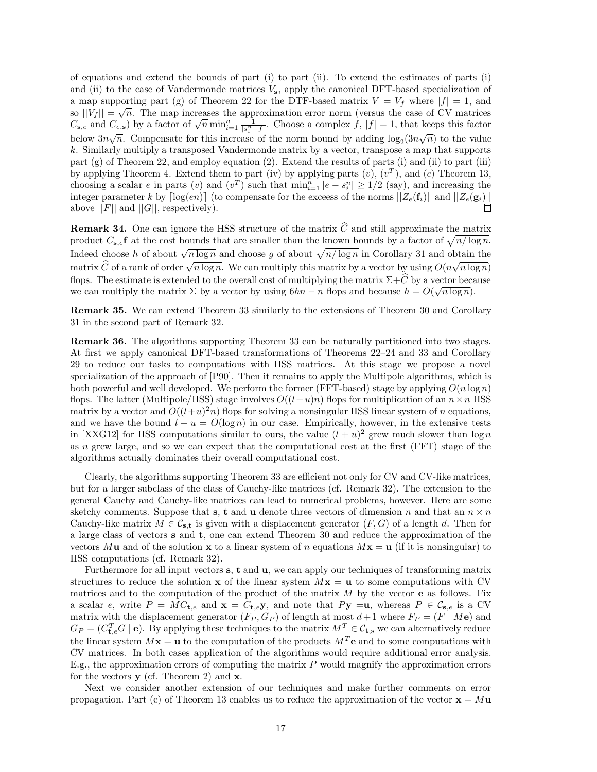of equations and extend the bounds of part (i) to part (ii). To extend the estimates of parts (i) and (ii) to the case of Vandermonde matrices  $V_s$ , apply the canonical DFT-based specialization of a map supporting part (g) of Theorem 22 for the DTF-based matrix  $V = V_f$  where  $|f| = 1$ , and so  $||V_f|| = \sqrt{n}$ . The map increases the approximation error norm (versus the case of CV matrices and  $||V_f|| = \sqrt{n}$ .  $C_{\mathbf{s},e}$  and  $C_{e,\mathbf{s}}$ ) by a factor of  $\sqrt{n} \min_{i=1}^{n} \frac{1}{|s_i^n - f|}$ . Choose a complex  $f, |f| = 1$ , that keeps this factor below  $3n\sqrt{n}$ . Compensate for this increase of the norm bound by adding  $\log_2(3n\sqrt{n})$  to the value *k*. Similarly multiply a transposed Vandermonde matrix by a vector, transpose a map that supports part (g) of Theorem 22, and employ equation (2). Extend the results of parts (i) and (ii) to part (iii) by applying Theorem 4. Extend them to part (iv) by applying parts  $(v)$ ,  $(v^T)$ , and  $(c)$  Theorem 13, choosing a scalar *e* in parts (*v*) and (*v<sup>T</sup>*) such that  $\min_{i=1}^{n} |e - s_i^n| \geq 1/2$  (say), and increasing the integer parameter k by  $\lceil \log(en) \rceil$  (to compensate for the exceess of the norms  $||Z_e(\mathbf{f}_i)||$  and  $||Z_e(\mathbf{g}_i)||$ above  $||F||$  and  $||G||$ , respectively).  $\Box$ 

**Remark 34.** One can ignore the HSS structure of the matrix  $\hat{C}$  and still approximate the matrix product  $C_{s,e}$ **f** at the cost bounds that are smaller than the known bounds by a factor of  $\sqrt{n/\log n}$ . Indeed choose *h* of about  $\sqrt{n \log n}$  and choose *g* of about  $\sqrt{n/\log n}$  in Corollary 31 and obtain the matrix  $\hat{C}$  of a rank of order  $\sqrt{n \log n}$ . We can multiply this matrix by a vector by using  $O(n\sqrt{n \log n})$ flops. The estimate is extended to the overall cost of multiplying the matrix  $\Sigma + \hat{C}$  by a vector because hops. The estimate is extended to the overall cost of multiplying the matrix  $\Delta + C$  by a vector because *h* =  $O(\sqrt{n \log n})$ .

**Remark 35.** We can extend Theorem 33 similarly to the extensions of Theorem 30 and Corollary 31 in the second part of Remark 32.

**Remark 36.** The algorithms supporting Theorem 33 can be naturally partitioned into two stages. At first we apply canonical DFT-based transformations of Theorems 22–24 and 33 and Corollary 29 to reduce our tasks to computations with HSS matrices. At this stage we propose a novel specialization of the approach of [P90]. Then it remains to apply the Multipole algorithms, which is both powerful and well developed. We perform the former (FFT-based) stage by applying  $O(n \log n)$ flops. The latter (Multipole/HSS) stage involves  $O((l+u)n)$  flops for multiplication of an  $n \times n$  HSS matrix by a vector and  $O((l+u)^2n)$  flops for solving a nonsingular HSS linear system of *n* equations, and we have the bound  $l + u = O(\log n)$  in our case. Empirically, however, in the extensive tests in [XXG12] for HSS computations similar to ours, the value  $(l + u)^2$  grew much slower than  $\log n$ as *n* grew large, and so we can expect that the computational cost at the first (FFT) stage of the algorithms actually dominates their overall computational cost.

Clearly, the algorithms supporting Theorem 33 are efficient not only for CV and CV-like matrices, but for a larger subclass of the class of Cauchy-like matrices (cf. Remark 32). The extension to the general Cauchy and Cauchy-like matrices can lead to numerical problems, however. Here are some sketchy comments. Suppose that **s**, **t** and **u** denote three vectors of dimension *n* and that an  $n \times n$ Cauchy-like matrix  $M \in \mathcal{C}_{s,t}$  is given with a displacement generator  $(F, G)$  of a length *d*. Then for a large class of vectors **s** and **t**, one can extend Theorem 30 and reduce the approximation of the vectors M**u** and of the solution **x** to a linear system of *n* equations  $M$ **x** = **u** (if it is nonsingular) to HSS computations (cf. Remark 32).

Furthermore for all input vectors **s**, **t** and **u**, we can apply our techniques of transforming matrix structures to reduce the solution **x** of the linear system  $Mx = u$  to some computations with CV matrices and to the computation of the product of the matrix *M* by the vector **e** as follows. Fix a scalar *e*, write  $P = MC_{t,e}$  and  $\mathbf{x} = C_{t,e} \mathbf{y}$ , and note that  $P\mathbf{y} = \mathbf{u}$ , whereas  $P \in \mathcal{C}_{\mathbf{s},e}$  is a CV matrix with the displacement generator  $(F_P, G_P)$  of length at most  $d+1$  where  $F_P = (F \mid M\mathbf{e})$  and  $G_P = (C_{\mathbf{t},e}^T G \mid \mathbf{e})$ . By applying these techniques to the matrix  $M^T \in \mathcal{C}_{\mathbf{t},\mathbf{s}}$  we can alternatively reduce the linear system  $M$ **x** = **u** to the computation of the products  $M<sup>T</sup>$ **e** and to some computations with CV matrices. In both cases application of the algorithms would require additional error analysis. E.g., the approximation errors of computing the matrix *P* would magnify the approximation errors for the vectors **y** (cf. Theorem 2) and **x**.

Next we consider another extension of our techniques and make further comments on error propagation. Part (c) of Theorem 13 enables us to reduce the approximation of the vector  $\mathbf{x} = M\mathbf{u}$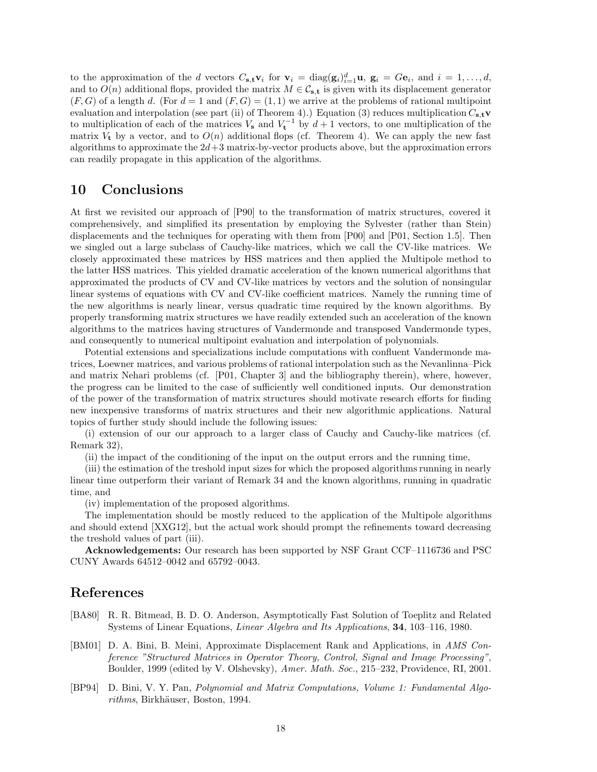to the approximation of the *d* vectors  $C_{s,t}$ **v**<sub>*i*</sub> for **v**<sub>*i*</sub> = diag( $\mathbf{g}_i$ ) $_{i=1}^d$ **u**,  $\mathbf{g}_i = G\mathbf{e}_i$ , and  $i = 1, ..., d$ , and to  $O(n)$  additional flops, provided the matrix  $M \in \mathcal{C}_{s,t}$  is given with its displacement generator  $(F, G)$  of a length *d*. (For  $d = 1$  and  $(F, G) = (1, 1)$  we arrive at the problems of rational multipoint evaluation and interpolation (see part (ii) of Theorem 4).) Equation (3) reduces multiplication *C***s***,***tv** to multiplication of each of the matrices  $V_s$  and  $V_t^{-1}$  by  $d+1$  vectors, to one multiplication of the matrix  $V_t$  by a vector, and to  $O(n)$  additional flops (cf. Theorem 4). We can apply the new fast algorithms to approximate the 2*d*+3 matrix-by-vector products above, but the approximation errors can readily propagate in this application of the algorithms.

## **10 Conclusions**

At first we revisited our approach of [P90] to the transformation of matrix structures, covered it comprehensively, and simplified its presentation by employing the Sylvester (rather than Stein) displacements and the techniques for operating with them from [P00] and [P01, Section 1.5]. Then we singled out a large subclass of Cauchy-like matrices, which we call the CV-like matrices. We closely approximated these matrices by HSS matrices and then applied the Multipole method to the latter HSS matrices. This yielded dramatic acceleration of the known numerical algorithms that approximated the products of CV and CV-like matrices by vectors and the solution of nonsingular linear systems of equations with CV and CV-like coefficient matrices. Namely the running time of the new algorithms is nearly linear, versus quadratic time required by the known algorithms. By properly transforming matrix structures we have readily extended such an acceleration of the known algorithms to the matrices having structures of Vandermonde and transposed Vandermonde types, and consequently to numerical multipoint evaluation and interpolation of polynomials.

Potential extensions and specializations include computations with confluent Vandermonde matrices, Loewner matrices, and various problems of rational interpolation such as the Nevanlinna–Pick and matrix Nehari problems (cf. [P01, Chapter 3] and the bibliography therein), where, however, the progress can be limited to the case of sufficiently well conditioned inputs. Our demonstration of the power of the transformation of matrix structures should motivate research efforts for finding new inexpensive transforms of matrix structures and their new algorithmic applications. Natural topics of further study should include the following issues:

(i) extension of our our approach to a larger class of Cauchy and Cauchy-like matrices (cf. Remark 32),

(ii) the impact of the conditioning of the input on the output errors and the running time,

(iii) the estimation of the treshold input sizes for which the proposed algorithms running in nearly linear time outperform their variant of Remark 34 and the known algorithms, running in quadratic time, and

(iv) implementation of the proposed algorithms.

The implementation should be mostly reduced to the application of the Multipole algorithms and should extend [XXG12], but the actual work should prompt the refinements toward decreasing the treshold values of part (iii).

**Acknowledgements:** Our research has been supported by NSF Grant CCF–1116736 and PSC CUNY Awards 64512–0042 and 65792–0043.

## **References**

- [BA80] R. R. Bitmead, B. D. O. Anderson, Asymptotically Fast Solution of Toeplitz and Related Systems of Linear Equations, *Linear Algebra and Its Applications*, **34**, 103–116, 1980.
- [BM01] D. A. Bini, B. Meini, Approximate Displacement Rank and Applications, in *AMS Conference "Structured Matrices in Operator Theory, Control, Signal and Image Processing"*, Boulder, 1999 (edited by V. Olshevsky), *Amer. Math. Soc.*, 215–232, Providence, RI, 2001.
- [BP94] D. Bini, V. Y. Pan, *Polynomial and Matrix Computations, Volume 1: Fundamental Algorithms*, Birkhäuser, Boston, 1994.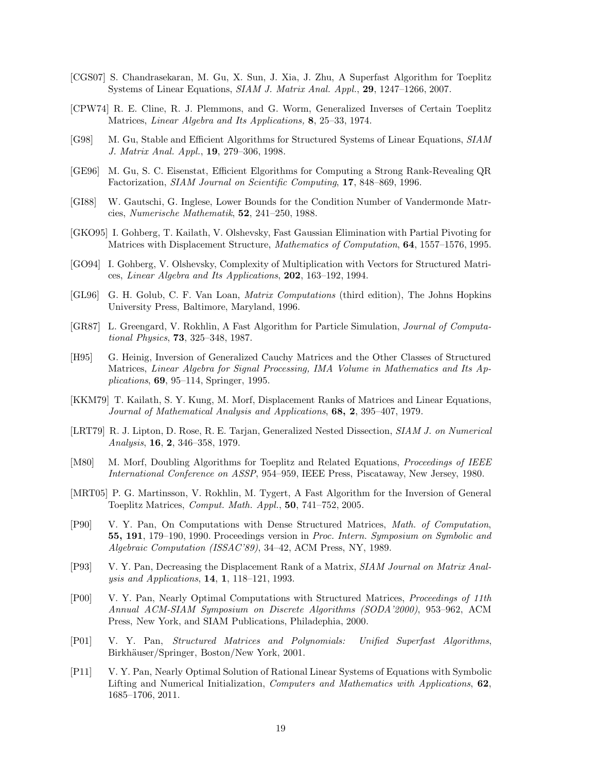- [CGS07] S. Chandrasekaran, M. Gu, X. Sun, J. Xia, J. Zhu, A Superfast Algorithm for Toeplitz Systems of Linear Equations, *SIAM J. Matrix Anal. Appl.*, **29**, 1247–1266, 2007.
- [CPW74] R. E. Cline, R. J. Plemmons, and G. Worm, Generalized Inverses of Certain Toeplitz Matrices, *Linear Algebra and Its Applications,* **8**, 25–33, 1974.
- [G98] M. Gu, Stable and Efficient Algorithms for Structured Systems of Linear Equations, *SIAM J. Matrix Anal. Appl.*, **19**, 279–306, 1998.
- [GE96] M. Gu, S. C. Eisenstat, Efficient Elgorithms for Computing a Strong Rank-Revealing QR Factorization, *SIAM Journal on Scientific Computing*, **17**, 848–869, 1996.
- [GI88] W. Gautschi, G. Inglese, Lower Bounds for the Condition Number of Vandermonde Matrcies, *Numerische Mathematik*, **52**, 241–250, 1988.
- [GKO95] I. Gohberg, T. Kailath, V. Olshevsky, Fast Gaussian Elimination with Partial Pivoting for Matrices with Displacement Structure, *Mathematics of Computation*, **64**, 1557–1576, 1995.
- [GO94] I. Gohberg, V. Olshevsky, Complexity of Multiplication with Vectors for Structured Matrices, *Linear Algebra and Its Applications*, **202**, 163–192, 1994.
- [GL96] G. H. Golub, C. F. Van Loan, *Matrix Computations* (third edition), The Johns Hopkins University Press, Baltimore, Maryland, 1996.
- [GR87] L. Greengard, V. Rokhlin, A Fast Algorithm for Particle Simulation, *Journal of Computational Physics*, **73**, 325–348, 1987.
- [H95] G. Heinig, Inversion of Generalized Cauchy Matrices and the Other Classes of Structured Matrices, *Linear Algebra for Signal Processing, IMA Volume in Mathematics and Its Applications*, **69**, 95–114, Springer, 1995.
- [KKM79] T. Kailath, S. Y. Kung, M. Morf, Displacement Ranks of Matrices and Linear Equations, *Journal of Mathematical Analysis and Applications*, **68, 2**, 395–407, 1979.
- [LRT79] R. J. Lipton, D. Rose, R. E. Tarjan, Generalized Nested Dissection, *SIAM J. on Numerical Analysis*, **16**, **2**, 346–358, 1979.
- [M80] M. Morf, Doubling Algorithms for Toeplitz and Related Equations, *Proceedings of IEEE International Conference on ASSP*, 954–959, IEEE Press, Piscataway, New Jersey, 1980.
- [MRT05] P. G. Martinsson, V. Rokhlin, M. Tygert, A Fast Algorithm for the Inversion of General Toeplitz Matrices, *Comput. Math. Appl.*, **50**, 741–752, 2005.
- [P90] V. Y. Pan, On Computations with Dense Structured Matrices, *Math. of Computation*, **55, 191**, 179–190, 1990. Proceedings version in *Proc. Intern. Symposium on Symbolic and Algebraic Computation (ISSAC'89)*, 34–42, ACM Press, NY, 1989.
- [P93] V. Y. Pan, Decreasing the Displacement Rank of a Matrix, *SIAM Journal on Matrix Analysis and Applications*, **14**, **1**, 118–121, 1993.
- [P00] V. Y. Pan, Nearly Optimal Computations with Structured Matrices, *Proceedings of 11th Annual ACM-SIAM Symposium on Discrete Algorithms (SODA'2000)*, 953–962, ACM Press, New York, and SIAM Publications, Philadephia, 2000.
- [P01] V. Y. Pan, *Structured Matrices and Polynomials: Unified Superfast Algorithms*, Birkhäuser/Springer, Boston/New York, 2001.
- [P11] V. Y. Pan, Nearly Optimal Solution of Rational Linear Systems of Equations with Symbolic Lifting and Numerical Initialization, *Computers and Mathematics with Applications*, **62**, 1685–1706, 2011.